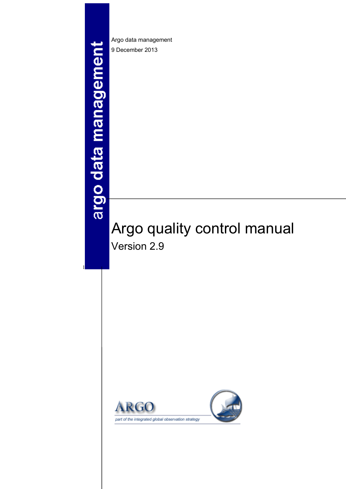# argo data management

1

Argo data management 9 December 2013

# Argo quality control manual Version 2.9

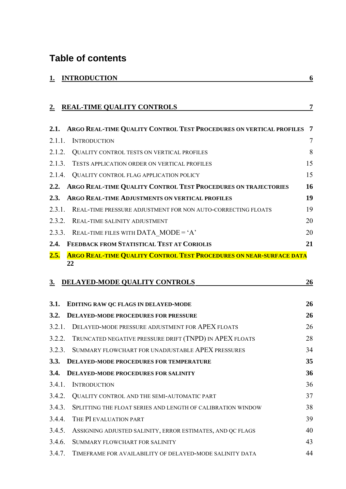# **Table of contents**

|                | <b>INTRODUCTION</b>                                                       | 6  |
|----------------|---------------------------------------------------------------------------|----|
| $\mathbf{2}$ . | <b>REAL-TIME QUALITY CONTROLS</b>                                         | 7  |
| 2.1.           | ARGO REAL-TIME QUALITY CONTROL TEST PROCEDURES ON VERTICAL PROFILES       | 7  |
| 2.1.1.         | <b>INTRODUCTION</b>                                                       | 7  |
| 2.1.2.         | <b>QUALITY CONTROL TESTS ON VERTICAL PROFILES</b>                         | 8  |
| 2.1.3.         | TESTS APPLICATION ORDER ON VERTICAL PROFILES                              | 15 |
| 2.1.4.         | <b>QUALITY CONTROL FLAG APPLICATION POLICY</b>                            | 15 |
| 2.2.           | ARGO REAL-TIME QUALITY CONTROL TEST PROCEDURES ON TRAJECTORIES            | 16 |
| 2.3.           | <b>ARGO REAL-TIME ADJUSTMENTS ON VERTICAL PROFILES</b>                    | 19 |
| 2.3.1.         | REAL-TIME PRESSURE ADJUSTMENT FOR NON AUTO-CORRECTING FLOATS              | 19 |
| 2.3.2.         | <b>REAL-TIME SALINITY ADJUSTMENT</b>                                      | 20 |
| 2.3.3.         | REAL-TIME FILES WITH DATA MODE = 'A'                                      | 20 |
| 2.4.           | FEEDBACK FROM STATISTICAL TEST AT CORIOLIS                                | 21 |
| 2.5.           | ARGO REAL-TIME QUALITY CONTROL TEST PROCEDURES ON NEAR-SURFACE DATA<br>22 |    |
| 3.             | DELAYED-MODE QUALITY CONTROLS                                             | 26 |
| 3.1.           | EDITING RAW QC FLAGS IN DELAYED-MODE                                      | 26 |
| 3.2.           | <b>DELAYED-MODE PROCEDURES FOR PRESSURE</b>                               | 26 |

|             | 5.4. – DELAYED-MODE PROCEDURES FOR PRESSURE                 | 40              |
|-------------|-------------------------------------------------------------|-----------------|
| 3.2.1.      | DELAYED-MODE PRESSURE ADJUSTMENT FOR APEX FLOATS            | 26              |
| 3.2.2.      | TRUNCATED NEGATIVE PRESSURE DRIFT (TNPD) IN APEX FLOATS     | 28              |
| 3.2.3.      | SUMMARY FLOWCHART FOR UNADJUSTABLE APEX PRESSURES           | 34              |
| <b>3.3.</b> | DELAYED-MODE PROCEDURES FOR TEMPERATURE                     | 35 <sup>5</sup> |
|             | 3.4. DELAYED-MODE PROCEDURES FOR SALINITY                   | 36              |
| 3.4.1.      | <b>INTRODUCTION</b>                                         | 36              |
| 3.4.2.      | QUALITY CONTROL AND THE SEMI-AUTOMATIC PART                 | 37              |
| 3.4.3.      | SPLITTING THE FLOAT SERIES AND LENGTH OF CALIBRATION WINDOW | 38              |
| 3.4.4.      | THE PI EVALUATION PART                                      | 39              |
| 3.4.5.      | ASSIGNING ADJUSTED SALINITY, ERROR ESTIMATES, AND QC FLAGS  | 40              |
| 3.4.6.      | SUMMARY FLOWCHART FOR SALINITY                              | 43              |
| 3.4.7.      | TIMEFRAME FOR AVAILABILITY OF DELAYED-MODE SALINITY DATA    | 44              |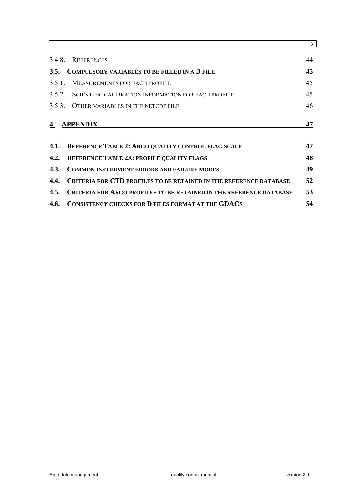|        |                                                                           | 3  |
|--------|---------------------------------------------------------------------------|----|
|        | 3.4.8. REFERENCES                                                         | 44 |
|        | 3.5. COMPULSORY VARIABLES TO BE FILLED IN A D FILE                        | 45 |
| 3.5.1. | MEASUREMENTS FOR EACH PROFILE                                             | 45 |
|        | 3.5.2. SCIENTIFIC CALIBRATION INFORMATION FOR EACH PROFILE                | 45 |
| 3.5.3. | OTHER VARIABLES IN THE NETCDF FILE                                        | 46 |
| 4.     | <b>APPENDIX</b>                                                           | 47 |
| 4.1.   | <b>REFERENCE TABLE 2: ARGO QUALITY CONTROL FLAG SCALE</b>                 | 47 |
| 4.2.   | <b>REFERENCE TABLE 2A: PROFILE QUALITY FLAGS</b>                          | 48 |
| 4.3.   | <b>COMMON INSTRUMENT ERRORS AND FAILURE MODES</b>                         | 49 |
| 4.4.   | <b>CRITERIA FOR CTD PROFILES TO BE RETAINED IN THE REFERENCE DATABASE</b> | 52 |
|        | 4.5. CRITERIA FOR ARGO PROFILES TO BE RETAINED IN THE REFERENCE DATABASE  | 53 |
|        | 4.6. CONSISTENCY CHECKS FOR D FILES FORMAT AT THE GDACS                   | 54 |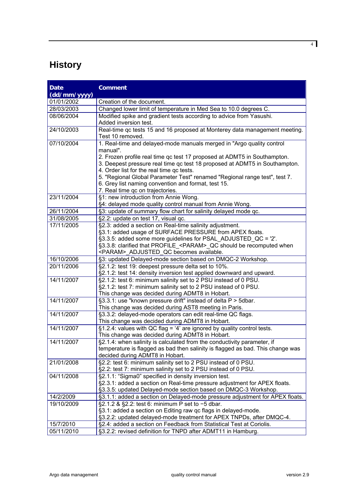# **History**

| Date         | <b>Comment</b>                                                                                                                                                                                      |
|--------------|-----------------------------------------------------------------------------------------------------------------------------------------------------------------------------------------------------|
| (dd/mm/yyyy) |                                                                                                                                                                                                     |
| 01/01/2002   | Creation of the document.                                                                                                                                                                           |
| 28/03/2003   | Changed lower limit of temperature in Med Sea to 10.0 degrees C.                                                                                                                                    |
| 08/06/2004   | Modified spike and gradient tests according to advice from Yasushi.<br>Added inversion test.                                                                                                        |
| 24/10/2003   | Real-time qc tests 15 and 16 proposed at Monterey data management meeting.<br>Test 10 removed.                                                                                                      |
| 07/10/2004   | 1. Real-time and delayed-mode manuals merged in "Argo quality control<br>manual".                                                                                                                   |
|              | 2. Frozen profile real time qc test 17 proposed at ADMT5 in Southampton.<br>3. Deepest pressure real time qc test 18 proposed at ADMT5 in Southampton.<br>4. Order list for the real time gc tests. |
|              | 5. "Regional Global Parameter Test" renamed "Regional range test", test 7.<br>6. Grey list naming convention and format, test 15.<br>7. Real time qc on trajectories.                               |
| 23/11/2004   | §1: new introduction from Annie Wong.<br>§4: delayed mode quality control manual from Annie Wong.                                                                                                   |
| 26/11/2004   | §3: update of summary flow chart for salinity delayed mode qc.                                                                                                                                      |
| 31/08/2005   | §2.2: update on test 17, visual qc.                                                                                                                                                                 |
| 17/11/2005   | §2.3: added a section on Real-time salinity adjustment.                                                                                                                                             |
|              | §3.1: added usage of SURFACE PRESSURE from APEX floats.                                                                                                                                             |
|              | §3.3.5: added some more guidelines for PSAL_ADJUSTED_QC = '2'.                                                                                                                                      |
|              | §3.3.8: clarified that PROFILE <param/> QC should be recomputed when                                                                                                                                |
|              | <param/> ADJUSTED QC becomes available.                                                                                                                                                             |
| 16/10/2006   | §3: updated Delayed-mode section based on DMQC-2 Workshop.                                                                                                                                          |
| 20/11/2006   | §2.1.2: test 19: deepest pressure delta set to 10%.                                                                                                                                                 |
|              | §2.1.2: test 14: density inversion test applied downward and upward.                                                                                                                                |
| 14/11/2007   | §2.1.2: test 6: minimum salinity set to 2 PSU instead of 0 PSU.                                                                                                                                     |
|              | §2.1.2: test 7: minimum salinity set to 2 PSU instead of 0 PSU.                                                                                                                                     |
|              | This change was decided during ADMT8 in Hobart.                                                                                                                                                     |
| 14/11/2007   | §3.3.1: use "known pressure drift" instead of delta P > 5dbar.                                                                                                                                      |
|              | This change was decided during AST8 meeting in Paris.                                                                                                                                               |
| 14/11/2007   | §3.3.2: delayed-mode operators can edit real-time QC flags.                                                                                                                                         |
|              | This change was decided during ADMT8 in Hobart.                                                                                                                                                     |
| 14/11/2007   | $§1.2.4$ : values with QC flag = '4' are ignored by quality control tests.                                                                                                                          |
|              | This change was decided during ADMT8 in Hobart.                                                                                                                                                     |
| 14/11/2007   | §2.1.4: when salinity is calculated from the conductivity parameter, if                                                                                                                             |
|              | temperature is flagged as bad then salinity is flagged as bad. This change was                                                                                                                      |
|              | decided during ADMT8 in Hobart.                                                                                                                                                                     |
| 21/01/2008   | §2.2: test 6: minimum salinity set to 2 PSU instead of 0 PSU.                                                                                                                                       |
|              | §2.2: test 7: minimum salinity set to 2 PSU instead of 0 PSU.                                                                                                                                       |
| 04/11/2008   | §2.1.1: "Sigma0" specified in density inversion test.                                                                                                                                               |
|              | §2.3.1: added a section on Real-time pressure adjustment for APEX floats.                                                                                                                           |
|              | §3.3.5: updated Delayed-mode section based on DMQC-3 Workshop.                                                                                                                                      |
| 14/2/2009    | §3.1.1: added a section on Delayed-mode pressure adjustment for APEX floats.                                                                                                                        |
| 19/10/2009   | §2.1.2 & §2.2: test 6: minimum P set to -5 dbar.                                                                                                                                                    |
|              | §3.1: added a section on Editing raw gc flags in delayed-mode.                                                                                                                                      |
|              | §3.2.2: updated delayed-mode treatment for APEX TNPDs, after DMQC-4.                                                                                                                                |
| 15/7/2010    | §2.4: added a section on Feedback from Statistical Test at Coriolis.                                                                                                                                |
| 05/11/2010   | §3.2.2: revised definition for TNPD after ADMT11 in Hamburg.                                                                                                                                        |
|              |                                                                                                                                                                                                     |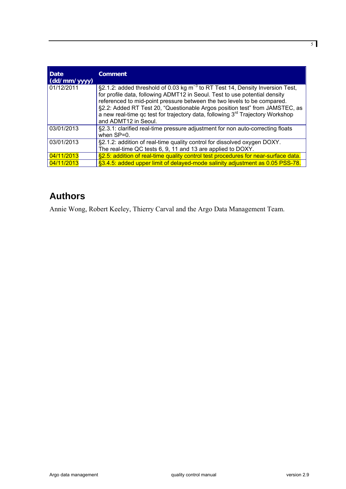| Date<br>(dd/mm/yyyy) | <b>Comment</b>                                                                                                                                                                                                                                                                                                                                                                                                                                   |
|----------------------|--------------------------------------------------------------------------------------------------------------------------------------------------------------------------------------------------------------------------------------------------------------------------------------------------------------------------------------------------------------------------------------------------------------------------------------------------|
| 01/12/2011           | §2.1.2: added threshold of 0.03 kg $m^{-3}$ to RT Test 14, Density Inversion Test,<br>for profile data, following ADMT12 in Seoul. Test to use potential density<br>referenced to mid-point pressure between the two levels to be compared.<br>§2.2: Added RT Test 20, "Questionable Argos position test" from JAMSTEC, as<br>a new real-time gc test for trajectory data, following 3 <sup>rd</sup> Trajectory Workshop<br>and ADMT12 in Seoul. |
| 03/01/2013           | §2.3.1: clarified real-time pressure adjustment for non auto-correcting floats<br>when SP=0.                                                                                                                                                                                                                                                                                                                                                     |
| 03/01/2013           | §2.1.2: addition of real-time quality control for dissolved oxygen DOXY.<br>The real-time QC tests 6, 9, 11 and 13 are applied to DOXY.                                                                                                                                                                                                                                                                                                          |
| 04/11/2013           | §2.5: addition of real-time quality control test procedures for near-surface data.                                                                                                                                                                                                                                                                                                                                                               |
| 04/11/2013           | §3.4.5: added upper limit of delayed-mode salinity adjustment as 0.05 PSS-78.                                                                                                                                                                                                                                                                                                                                                                    |

# **Authors**

Annie Wong, Robert Keeley, Thierry Carval and the Argo Data Management Team.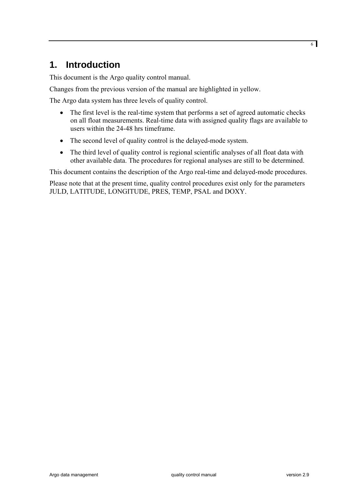# <span id="page-5-0"></span>**1. Introduction**

This document is the Argo quality control manual.

Changes from the previous version of the manual are highlighted in yellow.

The Argo data system has three levels of quality control.

- The first level is the real-time system that performs a set of agreed automatic checks on all float measurements. Real-time data with assigned quality flags are available to users within the 24-48 hrs timeframe.
- The second level of quality control is the delayed-mode system.
- The third level of quality control is regional scientific analyses of all float data with other available data. The procedures for regional analyses are still to be determined.

This document contains the description of the Argo real-time and delayed-mode procedures.

Please note that at the present time, quality control procedures exist only for the parameters JULD, LATITUDE, LONGITUDE, PRES, TEMP, PSAL and DOXY.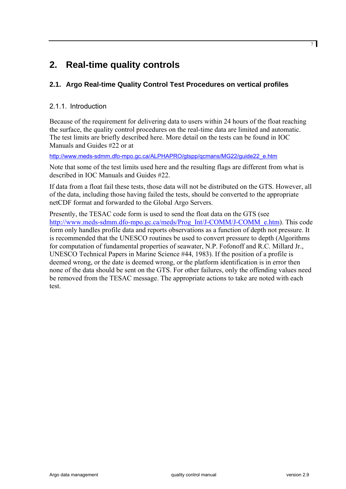# <span id="page-6-0"></span>**2. Real-time quality controls**

# **2.1. Argo Real-time Quality Control Test Procedures on vertical profiles**

# 2.1.1. Introduction

Because of the requirement for delivering data to users within 24 hours of the float reaching the surface, the quality control procedures on the real-time data are limited and automatic. The test limits are briefly described here. More detail on the tests can be found in IOC Manuals and Guides #22 or at

[http://www.meds-sdmm.dfo-mpo.gc.ca/ALPHAPRO/gtspp/qcmans/MG22/guide22\\_e.htm](http://www.meds-sdmm.dfo-mpo.gc.ca/ALPHAPRO/gtspp/qcmans/MG22/guide22_e.htm)

Note that some of the test limits used here and the resulting flags are different from what is described in IOC Manuals and Guides #22.

If data from a float fail these tests, those data will not be distributed on the GTS. However, all of the data, including those having failed the tests, should be converted to the appropriate netCDF format and forwarded to the Global Argo Servers.

Presently, the TESAC code form is used to send the float data on the GTS (see [http://www.meds-sdmm.dfo-mpo.gc.ca/meds/Prog\\_Int/J-COMM/J-COMM\\_e.htm\)](http://www.meds-sdmm.dfo-mpo.gc.ca/meds/Prog_Int/J-COMM/J-COMM_e.htm). This code form only handles profile data and reports observations as a function of depth not pressure. It is recommended that the UNESCO routines be used to convert pressure to depth (Algorithms for computation of fundamental properties of seawater, N.P. Fofonoff and R.C. Millard Jr., UNESCO Technical Papers in Marine Science #44, 1983). If the position of a profile is deemed wrong, or the date is deemed wrong, or the platform identification is in error then none of the data should be sent on the GTS. For other failures, only the offending values need be removed from the TESAC message. The appropriate actions to take are noted with each test.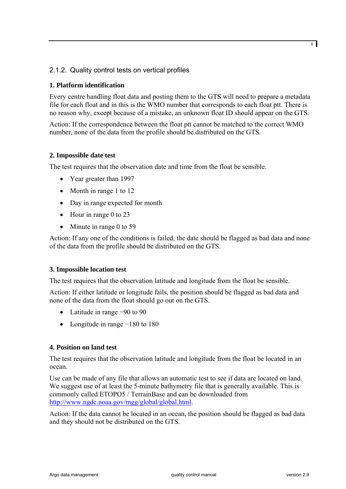# <span id="page-7-1"></span><span id="page-7-0"></span>2.1.2. Quality control tests on vertical profiles

#### **1. Platform identification**

Every centre handling float data and posting them to the GTS will need to prepare a metadata file for each float and in this is the WMO number that corresponds to each float ptt. There is no reason why, except because of a mistake, an unknown float ID should appear on the GTS.

Action: If the correspondence between the float ptt cannot be matched to the correct WMO number, none of the data from the profile should be distributed on the GTS.

#### **2. Impossible date test**

The test requires that the observation date and time from the float be sensible.

- Year greater than 1997
- Month in range 1 to 12
- Day in range expected for month
- Hour in range 0 to 23
- Minute in range 0 to 59

Action: If any one of the conditions is failed, the date should be flagged as bad data and none of the data from the profile should be distributed on the GTS.

#### **3. Impossible location test**

The test requires that the observation latitude and longitude from the float be sensible.

Action: If either latitude or longitude fails, the position should be flagged as bad data and none of the data from the float should go out on the GTS.

- Latitude in range −90 to 90
- Longitude in range −180 to 180

#### **4. Position on land test**

The test requires that the observation latitude and longitude from the float be located in an ocean.

Use can be made of any file that allows an automatic test to see if data are located on land. We suggest use of at least the 5-minute bathymetry file that is generally available. This is commonly called ETOPO5 / TerrainBase and can be downloaded from [http://www.ngdc.noaa.gov/mgg/global/global.html.](http://www.ngdc.noaa.gov/mgg/global/global.html)

Action: If the data cannot be located in an ocean, the position should be flagged as bad data and they should not be distributed on the GTS.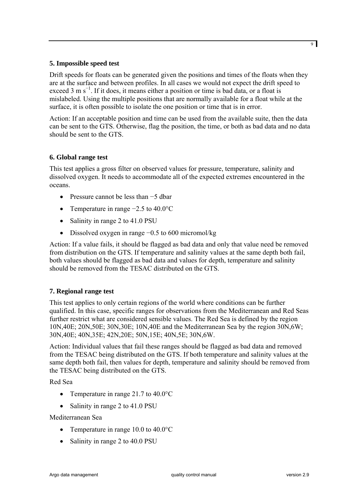#### **5. Impossible speed test**

Drift speeds for floats can be generated given the positions and times of the floats when they are at the surface and between profiles. In all cases we would not expect the drift speed to exceed 3 m s<sup>-1</sup>. If it does, it means either a position or time is bad data, or a float is mislabeled. Using the multiple positions that are normally available for a float while at the surface, it is often possible to isolate the one position or time that is in error.

Action: If an acceptable position and time can be used from the available suite, then the data can be sent to the GTS. Otherwise, flag the position, the time, or both as bad data and no data should be sent to the GTS.

#### **6. Global range test**

This test applies a gross filter on observed values for pressure, temperature, salinity and dissolved oxygen. It needs to accommodate all of the expected extremes encountered in the oceans.

- Pressure cannot be less than −5 dbar
- Temperature in range −2.5 to 40.0°C
- Salinity in range 2 to 41.0 PSU
- Dissolved oxygen in range −0.5 to 600 micromol/kg

Action: If a value fails, it should be flagged as bad data and only that value need be removed from distribution on the GTS. If temperature and salinity values at the same depth both fail, both values should be flagged as bad data and values for depth, temperature and salinity should be removed from the TESAC distributed on the GTS.

#### **7. Regional range test**

This test applies to only certain regions of the world where conditions can be further qualified. In this case, specific ranges for observations from the Mediterranean and Red Seas further restrict what are considered sensible values. The Red Sea is defined by the region 10N,40E; 20N,50E; 30N,30E; 10N,40E and the Mediterranean Sea by the region 30N,6W; 30N,40E; 40N,35E; 42N,20E; 50N,15E; 40N,5E; 30N,6W.

Action: Individual values that fail these ranges should be flagged as bad data and removed from the TESAC being distributed on the GTS. If both temperature and salinity values at the same depth both fail, then values for depth, temperature and salinity should be removed from the TESAC being distributed on the GTS.

Red Sea

- Temperature in range 21.7 to 40.0 °C
- Salinity in range 2 to 41.0 PSU

#### Mediterranean Sea

- Temperature in range 10.0 to 40.0 °C
- Salinity in range 2 to 40.0 PSU

9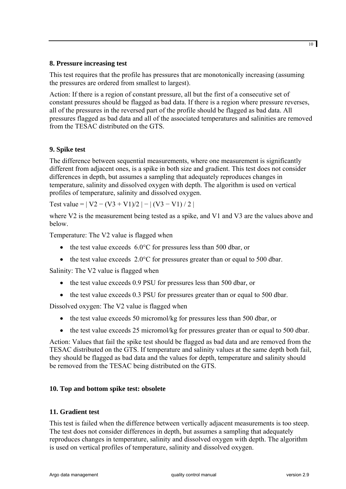#### **8. Pressure increasing test**

This test requires that the profile has pressures that are monotonically increasing (assuming the pressures are ordered from smallest to largest).

Action: If there is a region of constant pressure, all but the first of a consecutive set of constant pressures should be flagged as bad data. If there is a region where pressure reverses, all of the pressures in the reversed part of the profile should be flagged as bad data. All pressures flagged as bad data and all of the associated temperatures and salinities are removed from the TESAC distributed on the GTS.

# **9. Spike test**

The difference between sequential measurements, where one measurement is significantly different from adjacent ones, is a spike in both size and gradient. This test does not consider differences in depth, but assumes a sampling that adequately reproduces changes in temperature, salinity and dissolved oxygen with depth. The algorithm is used on vertical profiles of temperature, salinity and dissolved oxygen.

Test value =  $| V2 - (V3 + V1)/2 | - | (V3 - V1)/2 |$ 

where V2 is the measurement being tested as a spike, and V1 and V3 are the values above and below.

Temperature: The V2 value is flagged when

- the test value exceeds 6.0°C for pressures less than 500 dbar, or
- the test value exceeds  $2.0^{\circ}$ C for pressures greater than or equal to 500 dbar.

Salinity: The V2 value is flagged when

- the test value exceeds 0.9 PSU for pressures less than 500 dbar, or
- the test value exceeds 0.3 PSU for pressures greater than or equal to 500 dbar.

Dissolved oxygen: The V2 value is flagged when

- the test value exceeds 50 micromol/kg for pressures less than 500 dbar, or
- the test value exceeds 25 micromol/kg for pressures greater than or equal to 500 dbar.

Action: Values that fail the spike test should be flagged as bad data and are removed from the TESAC distributed on the GTS. If temperature and salinity values at the same depth both fail, they should be flagged as bad data and the values for depth, temperature and salinity should be removed from the TESAC being distributed on the GTS.

#### **10. Top and bottom spike test: obsolete**

#### **11. Gradient test**

This test is failed when the difference between vertically adjacent measurements is too steep. The test does not consider differences in depth, but assumes a sampling that adequately reproduces changes in temperature, salinity and dissolved oxygen with depth. The algorithm is used on vertical profiles of temperature, salinity and dissolved oxygen.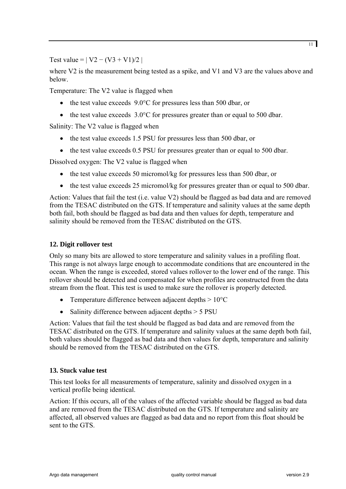Test value =  $| V2 - (V3 + V1)/2 |$ 

where V2 is the measurement being tested as a spike, and V1 and V3 are the values above and below.

Temperature: The V2 value is flagged when

- the test value exceeds 9.0°C for pressures less than 500 dbar, or
- the test value exceeds  $3.0^{\circ}$ C for pressures greater than or equal to 500 dbar.

Salinity: The V2 value is flagged when

- the test value exceeds 1.5 PSU for pressures less than 500 dbar, or
- the test value exceeds 0.5 PSU for pressures greater than or equal to 500 dbar.

Dissolved oxygen: The V2 value is flagged when

- the test value exceeds 50 micromol/kg for pressures less than 500 dbar, or
- the test value exceeds 25 micromol/kg for pressures greater than or equal to 500 dbar.

Action: Values that fail the test (i.e. value V2) should be flagged as bad data and are removed from the TESAC distributed on the GTS. If temperature and salinity values at the same depth both fail, both should be flagged as bad data and then values for depth, temperature and salinity should be removed from the TESAC distributed on the GTS.

#### **12. Digit rollover test**

Only so many bits are allowed to store temperature and salinity values in a profiling float. This range is not always large enough to accommodate conditions that are encountered in the ocean. When the range is exceeded, stored values rollover to the lower end of the range. This rollover should be detected and compensated for when profiles are constructed from the data stream from the float. This test is used to make sure the rollover is properly detected.

- Temperature difference between adjacent depths  $> 10^{\circ}$ C
- Salinity difference between adjacent depths > 5 PSU

Action: Values that fail the test should be flagged as bad data and are removed from the TESAC distributed on the GTS. If temperature and salinity values at the same depth both fail, both values should be flagged as bad data and then values for depth, temperature and salinity should be removed from the TESAC distributed on the GTS.

#### **13. Stuck value test**

This test looks for all measurements of temperature, salinity and dissolved oxygen in a vertical profile being identical.

Action: If this occurs, all of the values of the affected variable should be flagged as bad data and are removed from the TESAC distributed on the GTS. If temperature and salinity are affected, all observed values are flagged as bad data and no report from this float should be sent to the GTS.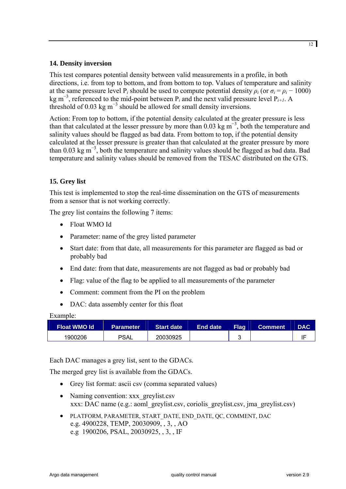# **14. Density inversion**

This test compares potential density between valid measurements in a profile, in both directions, i.e. from top to bottom, and from bottom to top. Values of temperature and salinity at the same pressure level P<sub>*i*</sub> should be used to compute potential density  $\rho_i$  (or  $\sigma_i = \rho_i - 1000$ ) kg m<sup>−</sup><sup>3</sup> , referenced to the mid-point between P*i* and the next valid pressure level P*i+1*. A threshold of 0.03 kg  $m^{-3}$  should be allowed for small density inversions.

Action: From top to bottom, if the potential density calculated at the greater pressure is less than that calculated at the lesser pressure by more than  $0.03 \text{ kg m}^{-3}$ , both the temperature and salinity values should be flagged as bad data. From bottom to top, if the potential density calculated at the lesser pressure is greater than that calculated at the greater pressure by more than 0.03 kg m<sup>−</sup><sup>3</sup> , both the temperature and salinity values should be flagged as bad data. Bad temperature and salinity values should be removed from the TESAC distributed on the GTS.

# **15. Grey list**

This test is implemented to stop the real-time dissemination on the GTS of measurements from a sensor that is not working correctly.

The grey list contains the following 7 items:

- Float WMO Id
- Parameter: name of the grey listed parameter
- Start date: from that date, all measurements for this parameter are flagged as bad or probably bad
- End date: from that date, measurements are not flagged as bad or probably bad
- Flag: value of the flag to be applied to all measurements of the parameter
- Comment: comment from the PI on the problem
- DAC: data assembly center for this float

#### Example:

| <b>Float WMO Id</b> | <b>Parameter</b> | <b>Start date</b> | End date | <b>Flag</b> | <b>Comment</b> | <b>DAC</b> |
|---------------------|------------------|-------------------|----------|-------------|----------------|------------|
| 1900206             | <b>PSAL</b>      | 20030925          |          | u           |                |            |

Each DAC manages a grey list, sent to the GDACs.

The merged grey list is available from the GDACs.

- Grey list format: ascii csv (comma separated values)
- Naming convention: xxx\_greylist.csv xxx: DAC name (e.g.: aoml\_greylist.csv, coriolis\_greylist.csv, jma\_greylist.csv)
- PLATFORM, PARAMETER, START\_DATE, END\_DATE, QC, COMMENT, DAC e.g. 4900228, TEMP, 20030909, , 3, , AO e.g 1900206, PSAL, 20030925, , 3, , IF

12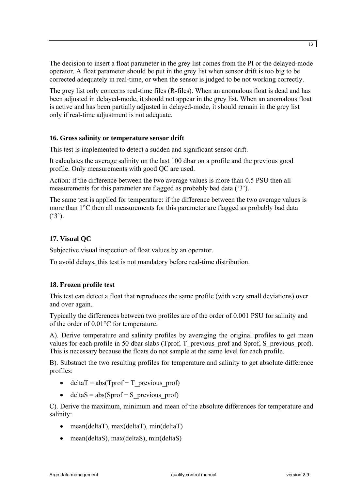The decision to insert a float parameter in the grey list comes from the PI or the delayed-mode operator. A float parameter should be put in the grey list when sensor drift is too big to be corrected adequately in real-time, or when the sensor is judged to be not working correctly.

The grey list only concerns real-time files (R-files). When an anomalous float is dead and has been adjusted in delayed-mode, it should not appear in the grey list. When an anomalous float is active and has been partially adjusted in delayed-mode, it should remain in the grey list only if real-time adjustment is not adequate.

#### **16. Gross salinity or temperature sensor drift**

This test is implemented to detect a sudden and significant sensor drift.

It calculates the average salinity on the last 100 dbar on a profile and the previous good profile. Only measurements with good QC are used.

Action: if the difference between the two average values is more than 0.5 PSU then all measurements for this parameter are flagged as probably bad data ('3').

The same test is applied for temperature: if the difference between the two average values is more than 1°C then all measurements for this parameter are flagged as probably bad data  $(^{6}3^{\prime})$ .

# **17. Visual QC**

Subjective visual inspection of float values by an operator.

To avoid delays, this test is not mandatory before real-time distribution.

# **18. Frozen profile test**

This test can detect a float that reproduces the same profile (with very small deviations) over and over again.

Typically the differences between two profiles are of the order of 0.001 PSU for salinity and of the order of 0.01°C for temperature.

A). Derive temperature and salinity profiles by averaging the original profiles to get mean values for each profile in 50 dbar slabs (Tprof, T\_previous\_prof and Sprof, S\_previous\_prof). This is necessary because the floats do not sample at the same level for each profile.

B). Substract the two resulting profiles for temperature and salinity to get absolute difference profiles:

- deltaT = abs(Tprof T\_previous\_prof)
- deltaS =  $abs(Sprof S\text{ previous proof})$

C). Derive the maximum, minimum and mean of the absolute differences for temperature and salinity:

- mean(deltaT), max(deltaT), min(deltaT)
- mean(deltaS), max(deltaS), min(deltaS)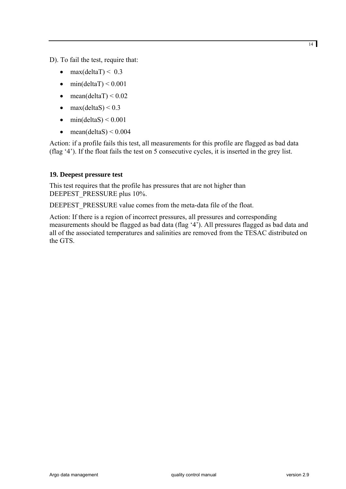D). To fail the test, require that:

- max $(dettaT) < 0.3$
- $\bullet$  min(deltaT) < 0.001
- mean(deltaT)  $\leq 0.02$
- max $(dettaS) < 0.3$
- min(deltaS)  $\leq 0.001$
- mean(deltaS)  $\leq$  0.004

Action: if a profile fails this test, all measurements for this profile are flagged as bad data (flag '4'). If the float fails the test on 5 consecutive cycles, it is inserted in the grey list.

#### **19. Deepest pressure test**

This test requires that the profile has pressures that are not higher than DEEPEST\_PRESSURE plus 10%.

DEEPEST\_PRESSURE value comes from the meta-data file of the float.

Action: If there is a region of incorrect pressures, all pressures and corresponding measurements should be flagged as bad data (flag '4'). All pressures flagged as bad data and all of the associated temperatures and salinities are removed from the TESAC distributed on the GTS.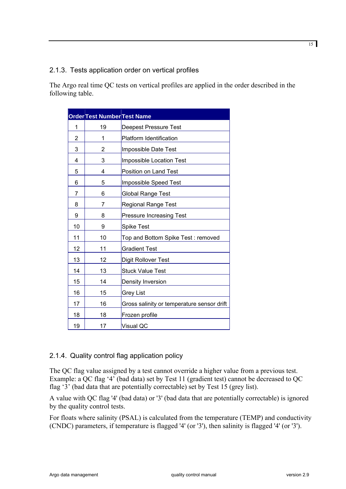# <span id="page-14-0"></span>2.1.3. Tests application order on vertical profiles

The Argo real time QC tests on vertical profiles are applied in the order described in the following table.

|                | <b>Order Test Number Test Name</b> |                                            |  |
|----------------|------------------------------------|--------------------------------------------|--|
| 1              | 19                                 | <b>Deepest Pressure Test</b>               |  |
| 2              | 1                                  | <b>Platform Identification</b>             |  |
| 3              | 2                                  | Impossible Date Test                       |  |
| 4              | 3                                  | Impossible Location Test                   |  |
| 5              | 4                                  | Position on Land Test                      |  |
| 6              | 5                                  | Impossible Speed Test                      |  |
| $\overline{7}$ | 6                                  | <b>Global Range Test</b>                   |  |
| 8              | 7                                  | <b>Regional Range Test</b>                 |  |
| 9              | 8                                  | <b>Pressure Increasing Test</b>            |  |
| 10             | 9                                  | <b>Spike Test</b>                          |  |
| 11             | 10                                 | Top and Bottom Spike Test: removed         |  |
| 12             | 11                                 | <b>Gradient Test</b>                       |  |
| 13             | 12                                 | Digit Rollover Test                        |  |
| 14             | 13                                 | <b>Stuck Value Test</b>                    |  |
| 15             | 14                                 | Density Inversion                          |  |
| 16             | 15                                 | Grey List                                  |  |
| 17             | 16                                 | Gross salinity or temperature sensor drift |  |
| 18             | 18                                 | Frozen profile                             |  |
| 19             | 17                                 | Visual QC                                  |  |

# 2.1.4. Quality control flag application policy

The QC flag value assigned by a test cannot override a higher value from a previous test. Example: a QC flag '4' (bad data) set by Test 11 (gradient test) cannot be decreased to QC flag '3' (bad data that are potentially correctable) set by Test 15 (grey list).

A value with QC flag '4' (bad data) or '3' (bad data that are potentially correctable) is ignored by the quality control tests.

For floats where salinity (PSAL) is calculated from the temperature (TEMP) and conductivity (CNDC) parameters, if temperature is flagged '4' (or '3'), then salinity is flagged '4' (or '3').

15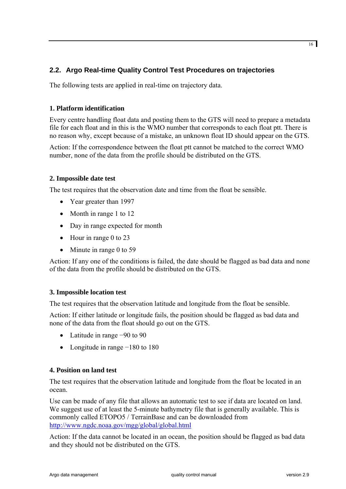# <span id="page-15-0"></span>**2.2. Argo Real-time Quality Control Test Procedures on trajectories**

The following tests are applied in real-time on trajectory data.

# **1. Platform identification**

Every centre handling float data and posting them to the GTS will need to prepare a metadata file for each float and in this is the WMO number that corresponds to each float ptt. There is no reason why, except because of a mistake, an unknown float ID should appear on the GTS.

Action: If the correspondence between the float ptt cannot be matched to the correct WMO number, none of the data from the profile should be distributed on the GTS.

# **2. Impossible date test**

The test requires that the observation date and time from the float be sensible.

- Year greater than 1997
- Month in range 1 to 12
- Day in range expected for month
- Hour in range 0 to 23
- Minute in range 0 to 59

Action: If any one of the conditions is failed, the date should be flagged as bad data and none of the data from the profile should be distributed on the GTS.

# **3. Impossible location test**

The test requires that the observation latitude and longitude from the float be sensible.

Action: If either latitude or longitude fails, the position should be flagged as bad data and none of the data from the float should go out on the GTS.

- Latitude in range −90 to 90
- Longitude in range −180 to 180

#### **4. Position on land test**

The test requires that the observation latitude and longitude from the float be located in an ocean.

Use can be made of any file that allows an automatic test to see if data are located on land. We suggest use of at least the 5-minute bathymetry file that is generally available. This is commonly called ETOPO5 / TerrainBase and can be downloaded from <http://www.ngdc.noaa.gov/mgg/global/global.html>

Action: If the data cannot be located in an ocean, the position should be flagged as bad data and they should not be distributed on the GTS.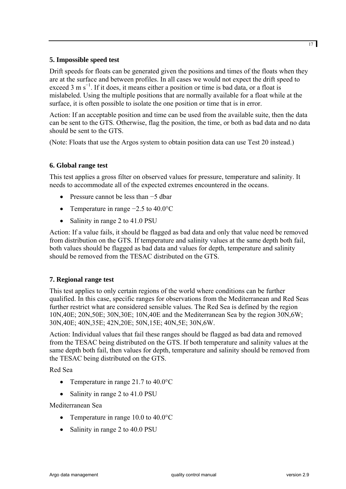# **5. Impossible speed test**

Drift speeds for floats can be generated given the positions and times of the floats when they are at the surface and between profiles. In all cases we would not expect the drift speed to exceed 3 m s<sup>-1</sup>. If it does, it means either a position or time is bad data, or a float is mislabeled. Using the multiple positions that are normally available for a float while at the surface, it is often possible to isolate the one position or time that is in error.

Action: If an acceptable position and time can be used from the available suite, then the data can be sent to the GTS. Otherwise, flag the position, the time, or both as bad data and no data should be sent to the GTS.

(Note: Floats that use the Argos system to obtain position data can use Test 20 instead.)

# **6. Global range test**

This test applies a gross filter on observed values for pressure, temperature and salinity. It needs to accommodate all of the expected extremes encountered in the oceans.

- Pressure cannot be less than −5 dbar
- Temperature in range −2.5 to 40.0°C
- Salinity in range 2 to 41.0 PSU

Action: If a value fails, it should be flagged as bad data and only that value need be removed from distribution on the GTS. If temperature and salinity values at the same depth both fail, both values should be flagged as bad data and values for depth, temperature and salinity should be removed from the TESAC distributed on the GTS.

# **7. Regional range test**

This test applies to only certain regions of the world where conditions can be further qualified. In this case, specific ranges for observations from the Mediterranean and Red Seas further restrict what are considered sensible values. The Red Sea is defined by the region 10N,40E; 20N,50E; 30N,30E; 10N,40E and the Mediterranean Sea by the region 30N,6W; 30N,40E; 40N,35E; 42N,20E; 50N,15E; 40N,5E; 30N,6W.

Action: Individual values that fail these ranges should be flagged as bad data and removed from the TESAC being distributed on the GTS. If both temperature and salinity values at the same depth both fail, then values for depth, temperature and salinity should be removed from the TESAC being distributed on the GTS.

Red Sea

- Temperature in range 21.7 to 40.0°C
- Salinity in range 2 to 41.0 PSU

Mediterranean Sea

- Temperature in range 10.0 to 40.0 °C
- Salinity in range 2 to 40.0 PSU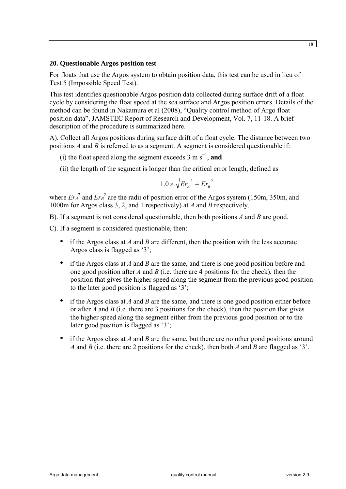#### **20. Questionable Argos position test**

For floats that use the Argos system to obtain position data, this test can be used in lieu of Test 5 (Impossible Speed Test).

This test identifies questionable Argos position data collected during surface drift of a float cycle by considering the float speed at the sea surface and Argos position errors. Details of the method can be found in Nakamura et al (2008), "Quality control method of Argo float position data", JAMSTEC Report of Research and Development, Vol. 7, 11-18. A brief description of the procedure is summarized here.

A). Collect all Argos positions during surface drift of a float cycle. The distance between two positions *A* and *B* is referred to as a segment. A segment is considered questionable if:

- (i) the float speed along the segment exceeds  $3 \text{ m s}^{-1}$ , and
- (ii) the length of the segment is longer than the critical error length, defined as

$$
1.0 \times \sqrt{Er_{A}^{2} + Er_{B}^{2}}
$$

where  $Er_A^2$  and  $Er_B^2$  are the radii of position error of the Argos system (150m, 350m, and 1000m for Argos class 3, 2, and 1 respectively) at *A* and *B* respectively.

B). If a segment is not considered questionable, then both positions *A* and *B* are good.

C). If a segment is considered questionable, then:

- if the Argos class at *A* and *B* are different, then the position with the less accurate Argos class is flagged as '3';
- if the Argos class at *A* and *B* are the same, and there is one good position before and one good position after *A* and *B* (i.e. there are 4 positions for the check), then the position that gives the higher speed along the segment from the previous good position to the later good position is flagged as '3';
- if the Argos class at *A* and *B* are the same, and there is one good position either before or after *A* and *B* (i.e. there are 3 positions for the check), then the position that gives the higher speed along the segment either from the previous good position or to the later good position is flagged as '3';
- if the Argos class at *A* and *B* are the same, but there are no other good positions around *A* and *B* (i.e. there are 2 positions for the check), then both *A* and *B* are flagged as '3'.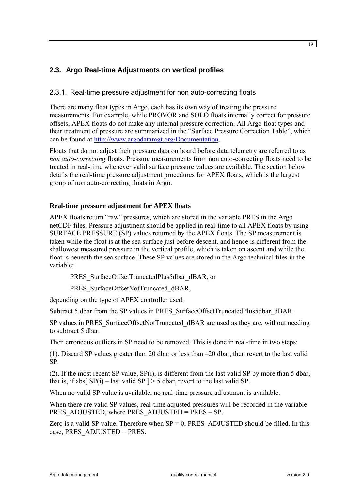# <span id="page-18-0"></span>**2.3. Argo Real-time Adjustments on vertical profiles**

# <span id="page-18-1"></span>2.3.1. Real-time pressure adjustment for non auto-correcting floats

There are many float types in Argo, each has its own way of treating the pressure measurements. For example, while PROVOR and SOLO floats internally correct for pressure offsets, APEX floats do not make any internal pressure correction. All Argo float types and their treatment of pressure are summarized in the "Surface Pressure Correction Table", which can be found at [http://www.argodatamgt.org/Documentation.](http://www.argodatamgt.org/Documentation)

Floats that do not adjust their pressure data on board before data telemetry are referred to as *non auto-correcting* floats. Pressure measurements from non auto-correcting floats need to be treated in real-time whenever valid surface pressure values are available. The section below details the real-time pressure adjustment procedures for APEX floats, which is the largest group of non auto-correcting floats in Argo.

# **Real-time pressure adjustment for APEX floats**

APEX floats return "raw" pressures, which are stored in the variable PRES in the Argo netCDF files. Pressure adjustment should be applied in real-time to all APEX floats by using SURFACE PRESSURE (SP) values returned by the APEX floats. The SP measurement is taken while the float is at the sea surface just before descent, and hence is different from the shallowest measured pressure in the vertical profile, which is taken on ascent and while the float is beneath the sea surface. These SP values are stored in the Argo technical files in the variable:

PRES\_SurfaceOffsetTruncatedPlus5dbar\_dBAR, or

PRES\_SurfaceOffsetNotTruncated\_dBAR,

depending on the type of APEX controller used.

Subtract 5 dbar from the SP values in PRES\_SurfaceOffsetTruncatedPlus5dbar\_dBAR.

SP values in PRES SurfaceOffsetNotTruncated dBAR are used as they are, without needing to subtract 5 dbar.

Then erroneous outliers in SP need to be removed. This is done in real-time in two steps:

(1). Discard SP values greater than 20 dbar or less than –20 dbar, then revert to the last valid SP.

(2). If the most recent SP value, SP(i), is different from the last valid SP by more than 5 dbar, that is, if abs[ $SP(i)$  – last valid SP ] > 5 dbar, revert to the last valid SP.

When no valid SP value is available, no real-time pressure adjustment is available.

When there are valid SP values, real-time adjusted pressures will be recorded in the variable PRES ADJUSTED, where PRES ADJUSTED = PRES – SP.

Zero is a valid SP value. Therefore when  $SP = 0$ , PRES ADJUSTED should be filled. In this case, PRES\_ADJUSTED = PRES.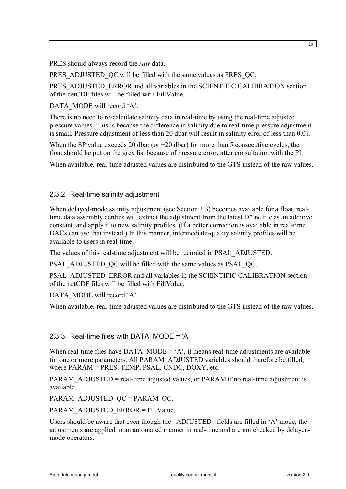<span id="page-19-0"></span>PRES should always record the *raw* data.

PRES ADJUSTED OC will be filled with the same values as PRES OC.

PRES\_ADJUSTED\_ERROR and all variables in the SCIENTIFIC CALIBRATION section of the netCDF files will be filled with FillValue.

DATA\_MODE will record 'A'.

There is no need to re-calculate salinity data in real-time by using the real-time adjusted pressure values. This is because the difference in salinity due to real-time pressure adjustment is small. Pressure adjustment of less than 20 dbar will result in salinity error of less than 0.01.

When the SP value exceeds 20 dbar (or −20 dbar) for more than 5 consecutive cycles, the float should be put on the grey list because of pressure error, after consultation with the PI.

When available, real-time adjusted values are distributed to the GTS instead of the raw values.

# 2.3.2. Real-time salinity adjustment

When delayed-mode salinity adjustment (see Section 3.3) becomes available for a float, realtime data assembly centres will extract the adjustment from the latest D\*.nc file as an additive constant, and apply it to new salinity profiles. (If a better correction is available in real-time, DACs can use that instead.) In this manner, intermediate-quality salinity profiles will be available to users in real-time.

The values of this real-time adjustment will be recorded in PSAL\_ADJUSTED.

PSAL\_ADJUSTED\_QC will be filled with the same values as PSAL\_QC.

PSAL\_ADJUSTED\_ERROR and all variables in the SCIENTIFIC CALIBRATION section of the netCDF files will be filled with FillValue.

DATA\_MODE will record 'A'.

When available, real-time adjusted values are distributed to the GTS instead of the raw values.

# 2.3.3. Real-time files with DATA\_MODE = 'A'

When real-time files have DATA\_MODE = 'A', it means real-time adjustments are available for one or more parameters. All PARAM\_ADJUSTED variables should therefore be filled, where PARAM = PRES, TEMP, PSAL, CNDC, DOXY, etc.

PARAM\_ADJUSTED = real-time adjusted values, or PARAM if no real-time adjustment is available.

PARAM\_ADJUSTED\_QC = PARAM\_QC.

PARAM\_ADJUSTED\_ERROR = FillValue.

Users should be aware that even though the \_ADJUSTED\_ fields are filled in 'A' mode, the adjustments are applied in an automated manner in real-time and are not checked by delayedmode operators.

20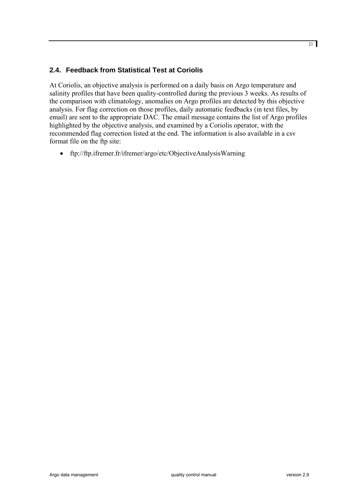# <span id="page-20-0"></span>**2.4. Feedback from Statistical Test at Coriolis**

At Coriolis, an objective analysis is performed on a daily basis on Argo temperature and salinity profiles that have been quality-controlled during the previous 3 weeks. As results of the comparison with climatology, anomalies on Argo profiles are detected by this objective analysis. For flag correction on those profiles, daily automatic feedbacks (in text files, by email) are sent to the appropriate DAC. The email message contains the list of Argo profiles highlighted by the objective analysis, and examined by a Coriolis operator, with the recommended flag correction listed at the end. The information is also available in a csv format file on the ftp site:

• <ftp://ftp.ifremer.fr/ifremer/argo/etc/ObjectiveAnalysisWarning>

21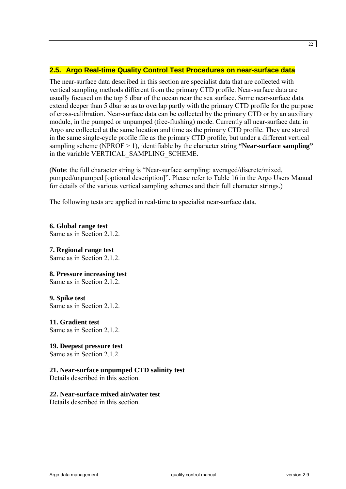# <span id="page-21-0"></span>**2.5. Argo Real-time Quality Control Test Procedures on near-surface data**

The near-surface data described in this section are specialist data that are collected with vertical sampling methods different from the primary CTD profile. Near-surface data are usually focused on the top 5 dbar of the ocean near the sea surface. Some near-surface data extend deeper than 5 dbar so as to overlap partly with the primary CTD profile for the purpose of cross-calibration. Near-surface data can be collected by the primary CTD or by an auxiliary module, in the pumped or unpumped (free-flushing) mode. Currently all near-surface data in Argo are collected at the same location and time as the primary CTD profile. They are stored in the same single-cycle profile file as the primary CTD profile, but under a different vertical sampling scheme (NPROF > 1), identifiable by the character string "Near-surface sampling" in the variable VERTICAL\_SAMPLING\_SCHEME.

(**Note**: the full character string is "Near-surface sampling: averaged/discrete/mixed, pumped/unpumped [optional description]". Please refer to Table 16 in the Argo Users Manual for details of the various vertical sampling schemes and their full character strings.)

The following tests are applied in real-time to specialist near-surface data.

**6. Global range test**  Same as in Section 2.1.2.

#### **7. Regional range test**

Same as in Section 2.1.2.

#### **8. Pressure increasing test**

Same as in Section 2.1.2.

#### **9. Spike test**

Same as in Section 2.1.2.

#### **11. Gradient test**

Same as in Section 2.1.2.

# **19. Deepest pressure test**

Same as in Section 2.1.2.

# **21. Near-surface unpumped CTD salinity test**

Details described in this section.

#### **22. Near-surface mixed air/water test**

Details described in this section.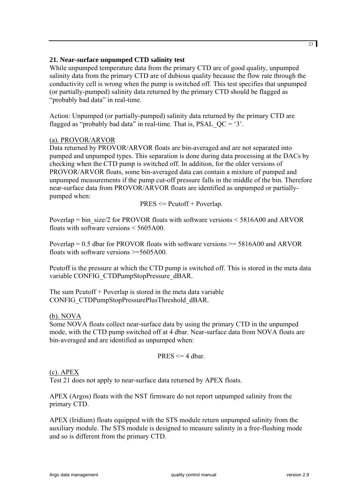#### **21. Near-surface unpumped CTD salinity test**

While unpumped temperature data from the primary CTD are of good quality, unpumped salinity data from the primary CTD are of dubious quality because the flow rate through the conductivity cell is wrong when the pump is switched off. This test specifies that unpumped (or partially-pumped) salinity data returned by the primary CTD should be flagged as "probably bad data" in real-time.

Action: Unpumped (or partially-pumped) salinity data returned by the primary CTD are flagged as "probably bad data" in real-time. That is, PSAL  $OC = '3'$ .

#### (a). PROVOR/ARVOR

Data returned by PROVOR/ARVOR floats are bin-averaged and are not separated into pumped and unpumped types. This separation is done during data processing at the DACs by checking when the CTD pump is switched off. In addition, for the older versions of PROVOR/ARVOR floats, some bin-averaged data can contain a mixture of pumped and unpumped measurements if the pump cut-off pressure falls in the middle of the bin. Therefore near-surface data from PROVOR/ARVOR floats are identified as unpumped or partiallypumped when:

 $PRES \leq Pcutoff + Poverlap.$ 

Poverlap = bin\_size/2 for PROVOR floats with software versions < 5816A00 and ARVOR floats with software versions  $\leq 5605A00$ .

Poverlap  $= 0.5$  dbar for PROVOR floats with software versions  $\geq 5816A00$  and ARVOR floats with software versions >=5605A00.

Pcutoff is the pressure at which the CTD pump is switched off. This is stored in the meta data variable CONFIG\_CTDPumpStopPressure\_dBAR.

The sum Pcutoff + Poverlap is stored in the meta data variable CONFIG\_CTDPumpStopPressurePlusThreshold\_dBAR.

#### (b). NOVA

Some NOVA floats collect near-surface data by using the primary CTD in the unpumped mode, with the CTD pump switched off at 4 dbar. Near-surface data from NOVA floats are bin-averaged and are identified as unpumped when:

#### $PRES \leq 4$  dbar.

#### (c). APEX

Test 21 does not apply to near-surface data returned by APEX floats.

APEX (Argos) floats with the NST firmware do not report unpumped salinity from the primary CTD.

APEX (Iridium) floats equipped with the STS module return unpumped salinity from the auxiliary module. The STS module is designed to measure salinity in a free-flushing mode and so is different from the primary CTD.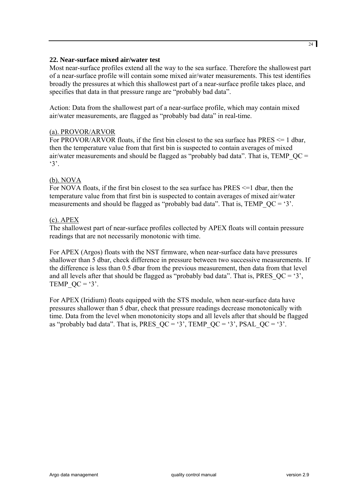#### **22. Near-surface mixed air/water test**

Most near-surface profiles extend all the way to the sea surface. Therefore the shallowest part of a near-surface profile will contain some mixed air/water measurements. This test identifies broadly the pressures at which this shallowest part of a near-surface profile takes place, and specifies that data in that pressure range are "probably bad data".

Action: Data from the shallowest part of a near-surface profile, which may contain mixed air/water measurements, are flagged as "probably bad data" in real-time.

#### (a). PROVOR/ARVOR

For PROVOR/ARVOR floats, if the first bin closest to the sea surface has PRES <= 1 dbar, then the temperature value from that first bin is suspected to contain averages of mixed air/water measurements and should be flagged as "probably bad data". That is, TEMP  $OC =$  $3^\circ$ .

#### (b). NOVA

For NOVA floats, if the first bin closest to the sea surface has PRES  $\leq 1$  dbar, then the temperature value from that first bin is suspected to contain averages of mixed air/water measurements and should be flagged as "probably bad data". That is, TEMP  $QC = '3'$ .

#### (c). APEX

The shallowest part of near-surface profiles collected by APEX floats will contain pressure readings that are not necessarily monotonic with time.

For APEX (Argos) floats with the NST firmware, when near-surface data have pressures shallower than 5 dbar, check difference in pressure between two successive measurements. If the difference is less than 0.5 dbar from the previous measurement, then data from that level and all levels after that should be flagged as "probably bad data". That is, PRES  $QC = '3'$ , TEMP  $QC = '3'.$ 

For APEX (Iridium) floats equipped with the STS module, when near-surface data have pressures shallower than 5 dbar, check that pressure readings decrease monotonically with time. Data from the level when monotonicity stops and all levels after that should be flagged as "probably bad data". That is, PRES  $QC = '3'$ , TEMP  $QC = '3'$ , PSAL  $QC = '3'$ .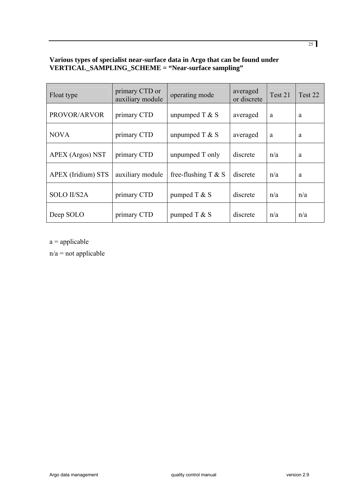#### **Various types of specialist near-surface data in Argo that can be found under VERTICAL\_SAMPLING\_SCHEME = "Near-surface sampling"**

| Float type         | primary CTD or<br>auxiliary module | operating mode         | averaged<br>or discrete | Test 21 | Test 22 |
|--------------------|------------------------------------|------------------------|-------------------------|---------|---------|
| PROVOR/ARVOR       | primary CTD                        | unpumped $T & S$       | averaged                | a       | a       |
| <b>NOVA</b>        | primary CTD                        | unpumped $T & S$       | averaged                | a       | a       |
| APEX (Argos) NST   | primary CTD                        | unpumped T only        | discrete                | n/a     | a       |
| APEX (Iridium) STS | auxiliary module                   | free-flushing $T \& S$ | discrete                | n/a     | a       |
| <b>SOLO II/S2A</b> | primary CTD                        | pumped $T & S$         | discrete                | n/a     | n/a     |
| Deep SOLO          | primary CTD                        | pumped $T & S$         | discrete                | n/a     | n/a     |

 $a =$ applicable

 $n/a$  = not applicable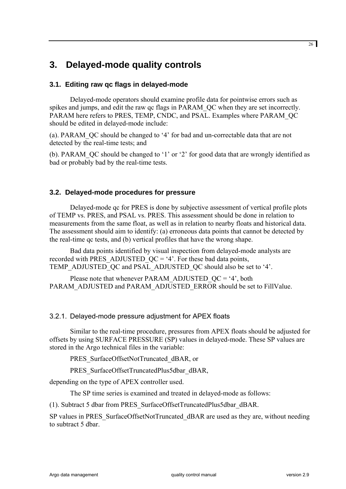# <span id="page-25-0"></span>**3. Delayed-mode quality controls**

# **3.1. Editing raw qc flags in delayed-mode**

Delayed-mode operators should examine profile data for pointwise errors such as spikes and jumps, and edit the raw qc flags in PARAM\_QC when they are set incorrectly. PARAM here refers to PRES, TEMP, CNDC, and PSAL. Examples where PARAM\_QC should be edited in delayed-mode include:

(a). PARAM\_QC should be changed to '4' for bad and un-correctable data that are not detected by the real-time tests; and

(b). PARAM\_QC should be changed to '1' or '2' for good data that are wrongly identified as bad or probably bad by the real-time tests.

# **3.2. Delayed-mode procedures for pressure**

Delayed-mode qc for PRES is done by subjective assessment of vertical profile plots of TEMP vs. PRES, and PSAL vs. PRES. This assessment should be done in relation to measurements from the same float, as well as in relation to nearby floats and historical data. The assessment should aim to identify: (a) erroneous data points that cannot be detected by the real-time qc tests, and (b) vertical profiles that have the wrong shape.

Bad data points identified by visual inspection from delayed-mode analysts are recorded with PRES\_ADJUSTED\_QC = '4'. For these bad data points, TEMP\_ADJUSTED\_QC and PSAL\_ADJUSTED\_QC should also be set to '4'.

Please note that whenever PARAM\_ADJUSTED\_QC = '4', both PARAM\_ADJUSTED and PARAM\_ADJUSTED\_ERROR should be set to FillValue.

# 3.2.1. Delayed-mode pressure adjustment for APEX floats

Similar to the real-time procedure, pressures from APEX floats should be adjusted for offsets by using SURFACE PRESSURE (SP) values in delayed-mode. These SP values are stored in the Argo technical files in the variable:

PRES\_SurfaceOffsetNotTruncated\_dBAR, or

PRES\_SurfaceOffsetTruncatedPlus5dbar\_dBAR,

depending on the type of APEX controller used.

The SP time series is examined and treated in delayed-mode as follows:

(1). Subtract 5 dbar from PRES\_SurfaceOffsetTruncatedPlus5dbar\_dBAR.

SP values in PRES\_SurfaceOffsetNotTruncated\_dBAR are used as they are, without needing to subtract 5 dbar.

26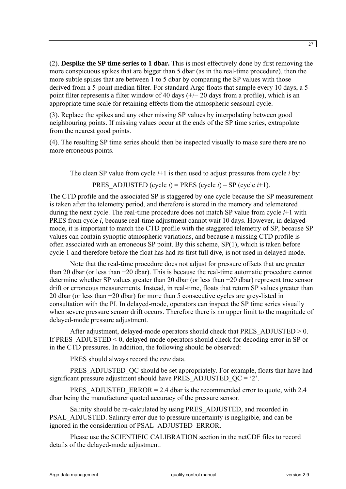(2). **Despike the SP time series to 1 dbar.** This is most effectively done by first removing the more conspicuous spikes that are bigger than 5 dbar (as in the real-time procedure), then the more subtle spikes that are between 1 to 5 dbar by comparing the SP values with those derived from a 5-point median filter. For standard Argo floats that sample every 10 days, a 5 point filter represents a filter window of 40 days (+/− 20 days from a profile), which is an appropriate time scale for retaining effects from the atmospheric seasonal cycle.

(3). Replace the spikes and any other missing SP values by interpolating between good neighbouring points. If missing values occur at the ends of the SP time series, extrapolate from the nearest good points.

(4). The resulting SP time series should then be inspected visually to make sure there are no more erroneous points.

The clean SP value from cycle *i*+1 is then used to adjust pressures from cycle *i* by:

PRES ADJUSTED (cycle  $i$ ) = PRES (cycle  $i$ ) – SP (cycle  $i+1$ ).

The CTD profile and the associated SP is staggered by one cycle because the SP measurement is taken after the telemetry period, and therefore is stored in the memory and telemetered during the next cycle. The real-time procedure does not match SP value from cycle *i*+1 with PRES from cycle *i*, because real-time adjustment cannot wait 10 days. However, in delayedmode, it is important to match the CTD profile with the staggered telemetry of SP, because SP values can contain synoptic atmospheric variations, and because a missing CTD profile is often associated with an erroneous SP point. By this scheme, SP(1), which is taken before cycle 1 and therefore before the float has had its first full dive, is not used in delayed-mode.

Note that the real-time procedure does not adjust for pressure offsets that are greater than 20 dbar (or less than −20 dbar). This is because the real-time automatic procedure cannot determine whether SP values greater than 20 dbar (or less than −20 dbar) represent true sensor drift or erroneous measurements. Instead, in real-time, floats that return SP values greater than 20 dbar (or less than −20 dbar) for more than 5 consecutive cycles are grey-listed in consultation with the PI. In delayed-mode, operators can inspect the SP time series visually when severe pressure sensor drift occurs. Therefore there is no upper limit to the magnitude of delayed-mode pressure adjustment.

After adjustment, delayed-mode operators should check that PRES\_ADJUSTED  $> 0$ . If PRES\_ADJUSTED < 0, delayed-mode operators should check for decoding error in SP or in the CTD pressures. In addition, the following should be observed:

PRES should always record the *raw* data.

PRES ADJUSTED QC should be set appropriately. For example, floats that have had significant pressure adjustment should have PRES\_ADJUSTED\_ $OC = '2'$ .

PRES ADJUSTED ERROR = 2.4 dbar is the recommended error to quote, with 2.4 dbar being the manufacturer quoted accuracy of the pressure sensor.

Salinity should be re-calculated by using PRES\_ADJUSTED, and recorded in PSAL\_ADJUSTED. Salinity error due to pressure uncertainty is negligible, and can be ignored in the consideration of PSAL\_ADJUSTED\_ERROR.

Please use the SCIENTIFIC CALIBRATION section in the netCDF files to record details of the delayed-mode adjustment.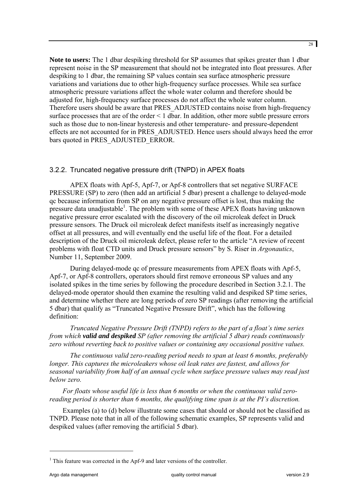<span id="page-27-0"></span>**Note to users:** The 1 dbar despiking threshold for SP assumes that spikes greater than 1 dbar represent noise in the SP measurement that should not be integrated into float pressures. After despiking to 1 dbar, the remaining SP values contain sea surface atmospheric pressure variations and variations due to other high-frequency surface processes. While sea surface atmospheric pressure variations affect the whole water column and therefore should be adjusted for, high-frequency surface processes do not affect the whole water column. Therefore users should be aware that PRES\_ADJUSTED contains noise from high-frequency surface processes that are of the order < 1 dbar. In addition, other more subtle pressure errors such as those due to non-linear hysteresis and other temperature- and pressure-dependent effects are not accounted for in PRES\_ADJUSTED. Hence users should always heed the error bars quoted in PRES\_ADJUSTED\_ERROR.

#### 3.2.2. Truncated negative pressure drift (TNPD) in APEX floats

APEX floats with Apf-5, Apf-7, or Apf-8 controllers that set negative SURFACE PRESSURE (SP) to zero (then add an artificial 5 dbar) present a challenge to delayed-mode qc because information from SP on any negative pressure offset is lost, thus making the pressure data unadjustable<sup>[1](#page-27-1)</sup>. The problem with some of these APEX floats having unknown negative pressure error escalated with the discovery of the oil microleak defect in Druck pressure sensors. The Druck oil microleak defect manifests itself as increasingly negative offset at all pressures, and will eventually end the useful life of the float. For a detailed description of the Druck oil microleak defect, please refer to the article "A review of recent problems with float CTD units and Druck pressure sensors" by S. Riser in *Argonautics*, Number 11, September 2009.

During delayed-mode qc of pressure measurements from APEX floats with Apf-5, Apf-7, or Apf-8 controllers, operators should first remove erroneous SP values and any isolated spikes in the time series by following the procedure described in Section 3.2.1. The delayed-mode operator should then examine the resulting valid and despiked SP time series, and determine whether there are long periods of zero SP readings (after removing the artificial 5 dbar) that qualify as "Truncated Negative Pressure Drift", which has the following definition:

*Truncated Negative Pressure Drift (TNPD) refers to the part of a float's time series from which valid and despiked SP (after removing the artificial 5 dbar) reads continuously zero without reverting back to positive values or containing any occasional positive values.* 

*The continuous valid zero-reading period needs to span at least 6 months, preferably longer. This captures the microleakers whose oil leak rates are fastest, and allows for seasonal variability from half of an annual cycle when surface pressure values may read just below zero.*

*For floats whose useful life is less than 6 months or when the continuous valid zeroreading period is shorter than 6 months, the qualifying time span is at the PI's discretion.* 

Examples (a) to (d) below illustrate some cases that should or should not be classified as TNPD. Please note that in all of the following schematic examples, SP represents valid and despiked values (after removing the artificial 5 dbar).

 $\overline{a}$ 

<span id="page-27-1"></span><sup>&</sup>lt;sup>1</sup> This feature was corrected in the Apf-9 and later versions of the controller.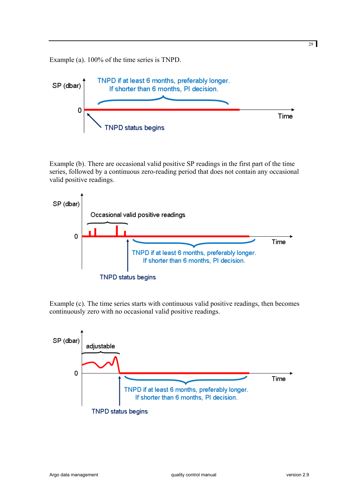Example (a). 100% of the time series is TNPD.



Example (b). There are occasional valid positive SP readings in the first part of the time series, followed by a continuous zero-reading period that does not contain any occasional valid positive readings.



Example (c). The time series starts with continuous valid positive readings, then becomes continuously zero with no occasional valid positive readings.



29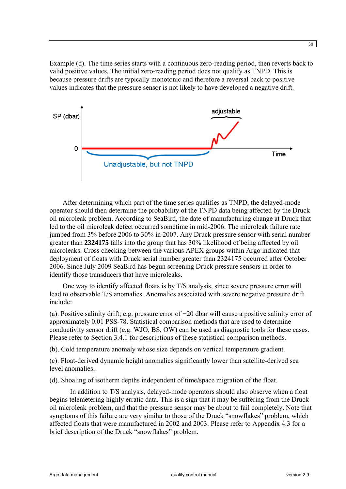Example (d). The time series starts with a continuous zero-reading period, then reverts back to valid positive values. The initial zero-reading period does not qualify as TNPD. This is because pressure drifts are typically monotonic and therefore a reversal back to positive values indicates that the pressure sensor is not likely to have developed a negative drift.



After determining which part of the time series qualifies as TNPD, the delayed-mode operator should then determine the probability of the TNPD data being affected by the Druck oil microleak problem. According to SeaBird, the date of manufacturing change at Druck that led to the oil microleak defect occurred sometime in mid-2006. The microleak failure rate jumped from 3% before 2006 to 30% in 2007. Any Druck pressure sensor with serial number greater than **2324175** falls into the group that has 30% likelihood of being affected by oil microleaks. Cross checking between the various APEX groups within Argo indicated that deployment of floats with Druck serial number greater than 2324175 occurred after October 2006. Since July 2009 SeaBird has begun screening Druck pressure sensors in order to identify those transducers that have microleaks.

One way to identify affected floats is by T/S analysis, since severe pressure error will lead to observable T/S anomalies. Anomalies associated with severe negative pressure drift include:

(a). Positive salinity drift; e.g. pressure error of −20 dbar will cause a positive salinity error of approximately 0.01 PSS-78. Statistical comparison methods that are used to determine conductivity sensor drift (e.g. WJO, BS, OW) can be used as diagnostic tools for these cases. Please refer to Section 3.4.1 for descriptions of these statistical comparison methods.

(b). Cold temperature anomaly whose size depends on vertical temperature gradient.

(c). Float-derived dynamic height anomalies significantly lower than satellite-derived sea level anomalies.

(d). Shoaling of isotherm depths independent of time/space migration of the float.

In addition to T/S analysis, delayed-mode operators should also observe when a float begins telemetering highly erratic data. This is a sign that it may be suffering from the Druck oil microleak problem, and that the pressure sensor may be about to fail completely. Note that symptoms of this failure are very similar to those of the Druck "snowflakes" problem, which affected floats that were manufactured in 2002 and 2003. Please refer to Appendix 4.3 for a brief description of the Druck "snowflakes" problem.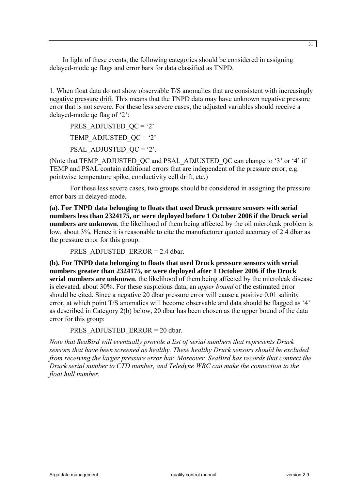In light of these events, the following categories should be considered in assigning delayed-mode qc flags and error bars for data classified as TNPD.

1. When float data do not show observable T/S anomalies that are consistent with increasingly negative pressure drift. This means that the TNPD data may have unknown negative pressure error that is not severe. For these less severe cases, the adjusted variables should receive a delayed-mode qc flag of '2':

PRES ADJUSTED  $QC = '2'$ TEMP ADJUSTED  $OC = '2'$ PSAL\_ADJUSTED\_ $QC = '2'$ .

(Note that TEMP\_ADJUSTED\_QC and PSAL\_ADJUSTED\_QC can change to '3' or '4' if TEMP and PSAL contain additional errors that are independent of the pressure error; e.g. pointwise temperature spike, conductivity cell drift, etc.)

For these less severe cases, two groups should be considered in assigning the pressure error bars in delayed-mode.

**(a). For TNPD data belonging to floats that used Druck pressure sensors with serial numbers less than 2324175, or were deployed before 1 October 2006 if the Druck serial numbers are unknown**, the likelihood of them being affected by the oil microleak problem is low, about 3%. Hence it is reasonable to cite the manufacturer quoted accuracy of 2.4 dbar as the pressure error for this group:

PRES\_ADJUSTED\_ERROR =  $2.4$  dbar.

**(b). For TNPD data belonging to floats that used Druck pressure sensors with serial numbers greater than 2324175, or were deployed after 1 October 2006 if the Druck serial numbers are unknown**, the likelihood of them being affected by the microleak disease is elevated, about 30%. For these suspicious data, an *upper bound* of the estimated error should be cited. Since a negative 20 dbar pressure error will cause a positive 0.01 salinity error, at which point T/S anomalies will become observable and data should be flagged as '4' as described in Category 2(b) below, 20 dbar has been chosen as the upper bound of the data error for this group:

PRES\_ADJUSTED\_ERROR = 20 dbar.

*Note that SeaBird will eventually provide a list of serial numbers that represents Druck sensors that have been screened as healthy. These healthy Druck sensors should be excluded from receiving the larger pressure error bar. Moreover, SeaBird has records that connect the Druck serial number to CTD number, and Teledyne WRC can make the connection to the float hull number.*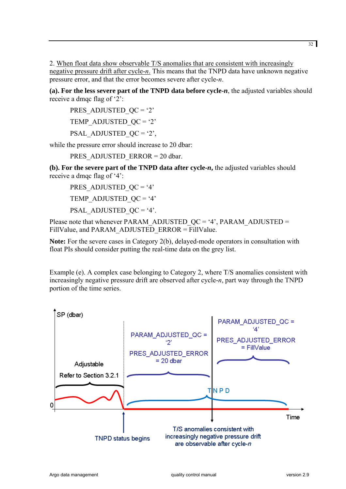2. When float data show observable T/S anomalies that are consistent with increasingly negative pressure drift after cycle-*n*. This means that the TNPD data have unknown negative pressure error, and that the error becomes severe after cycle-*n*.

**(a). For the less severe part of the TNPD data before cycle-***n*, the adjusted variables should receive a dmqc flag of '2':

PRES\_ADJUSTED  $QC = '2'$ TEMP ADJUSTED  $QC = '2'$ PSAL\_ADJUSTED\_ $OC = '2'$ ,

while the pressure error should increase to 20 dbar:

PRES\_ADJUSTED\_ERROR = 20 dbar.

**(b). For the severe part of the TNPD data after cycle-***n***,** the adjusted variables should receive a dmqc flag of '4':

PRES ADJUSTED  $QC = '4'$ TEMP ADJUSTED  $QC = '4'$ PSAL\_ADJUSTED\_ $OC = '4'.$ 

Please note that whenever PARAM\_ADJUSTED\_QC = '4', PARAM\_ADJUSTED = FillValue, and PARAM\_ADJUSTED\_ERROR = FillValue.

**Note:** For the severe cases in Category 2(b), delayed-mode operators in consultation with float PIs should consider putting the real-time data on the grey list.

Example (e). A complex case belonging to Category 2, where T/S anomalies consistent with increasingly negative pressure drift are observed after cycle-*n*, part way through the TNPD portion of the time series.

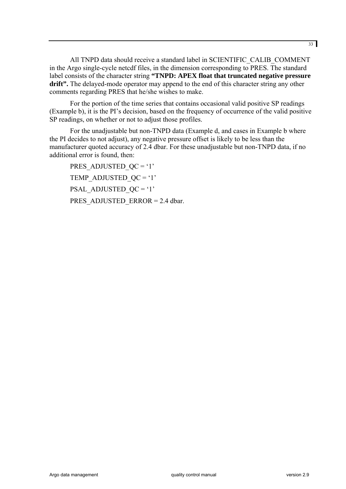All TNPD data should receive a standard label in SCIENTIFIC\_CALIB\_COMMENT in the Argo single-cycle netcdf files, in the dimension corresponding to PRES. The standard label consists of the character string **"TNPD: APEX float that truncated negative pressure drift".** The delayed-mode operator may append to the end of this character string any other comments regarding PRES that he/she wishes to make.

For the portion of the time series that contains occasional valid positive SP readings (Example b), it is the PI's decision, based on the frequency of occurrence of the valid positive SP readings, on whether or not to adjust those profiles.

For the unadjustable but non-TNPD data (Example d, and cases in Example b where the PI decides to not adjust), any negative pressure offset is likely to be less than the manufacturer quoted accuracy of 2.4 dbar. For these unadjustable but non-TNPD data, if no additional error is found, then:

PRES ADJUSTED  $QC = '1'$ TEMP ADJUSTED  $QC = '1'$ PSAL\_ADJUSTED\_QC = '1' PRES\_ADJUSTED\_ERROR = 2.4 dbar.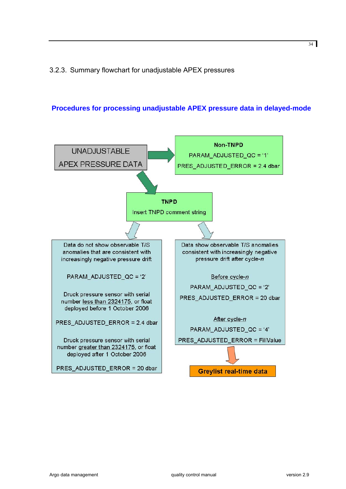# <span id="page-33-0"></span>3.2.3. Summary flowchart for unadjustable APEX pressures



# **Procedures for processing unadjustable APEX pressure data in delayed-mode**

Argo data management quality control manual version 2.9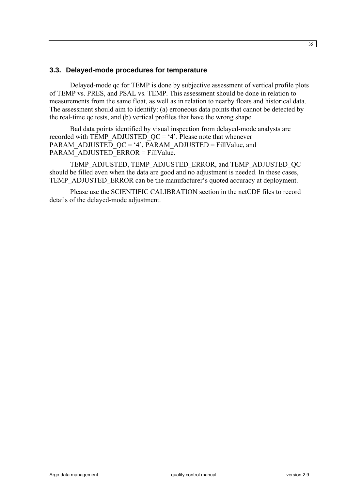#### <span id="page-34-0"></span>**3.3. Delayed-mode procedures for temperature**

Delayed-mode qc for TEMP is done by subjective assessment of vertical profile plots of TEMP vs. PRES, and PSAL vs. TEMP. This assessment should be done in relation to measurements from the same float, as well as in relation to nearby floats and historical data. The assessment should aim to identify: (a) erroneous data points that cannot be detected by the real-time qc tests, and (b) vertical profiles that have the wrong shape.

Bad data points identified by visual inspection from delayed-mode analysts are recorded with TEMP\_ADJUSTED\_OC = '4'. Please note that whenever PARAM\_ADJUSTED\_QC = '4', PARAM\_ADJUSTED = FillValue, and PARAM\_ADJUSTED\_ERROR = FillValue.

TEMP\_ADJUSTED, TEMP\_ADJUSTED\_ERROR, and TEMP\_ADJUSTED\_QC should be filled even when the data are good and no adjustment is needed. In these cases, TEMP\_ADJUSTED\_ERROR can be the manufacturer's quoted accuracy at deployment.

Please use the SCIENTIFIC CALIBRATION section in the netCDF files to record details of the delayed-mode adjustment.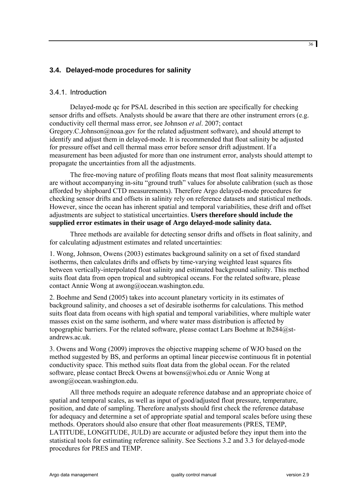# <span id="page-35-0"></span>**3.4. Delayed-mode procedures for salinity**

#### 3.4.1. Introduction

Delayed-mode qc for PSAL described in this section are specifically for checking sensor drifts and offsets. Analysts should be aware that there are other instrument errors (e.g. conductivity cell thermal mass error, see Johnson *et al*. 2007; contact [Gregory.C.Johnson@noaa.gov](mailto:Gregory.C.Johnson@noaa.gov) for the related adjustment software), and should attempt to identify and adjust them in delayed-mode. It is recommended that float salinity be adjusted for pressure offset and cell thermal mass error before sensor drift adjustment. If a measurement has been adjusted for more than one instrument error, analysts should attempt to propagate the uncertainties from all the adjustments.

The free-moving nature of profiling floats means that most float salinity measurements are without accompanying in-situ "ground truth" values for absolute calibration (such as those afforded by shipboard CTD measurements). Therefore Argo delayed-mode procedures for checking sensor drifts and offsets in salinity rely on reference datasets and statistical methods. However, since the ocean has inherent spatial and temporal variabilities, these drift and offset adjustments are subject to statistical uncertainties. **Users therefore should include the supplied error estimates in their usage of Argo delayed-mode salinity data.**

Three methods are available for detecting sensor drifts and offsets in float salinity, and for calculating adjustment estimates and related uncertainties:

1. Wong, Johnson, Owens (2003) estimates background salinity on a set of fixed standard isotherms, then calculates drifts and offsets by time-varying weighted least squares fits between vertically-interpolated float salinity and estimated background salinity. This method suits float data from open tropical and subtropical oceans. For the related software, please contact Annie Wong at awong@ocean.washington.edu.

2. Boehme and Send (2005) takes into account planetary vorticity in its estimates of background salinity, and chooses a set of desirable isotherms for calculations. This method suits float data from oceans with high spatial and temporal variabilities, where multiple water masses exist on the same isotherm, and where water mass distribution is affected by topographic barriers. For the related software, please contact Lars Boehme at  $lb284@st$ [andrews.ac.uk.](mailto:lb284@st-andrews.ac.uk)

3. Owens and Wong (2009) improves the objective mapping scheme of WJO based on the method suggested by BS, and performs an optimal linear piecewise continuous fit in potential conductivity space. This method suits float data from the global ocean. For the related software, please contact Breck Owens at [bowens@whoi.edu](mailto:bowens@whoi.edu) or Annie Wong at awong@ocean.washington.edu.

All three methods require an adequate reference database and an appropriate choice of spatial and temporal scales, as well as input of good/adjusted float pressure, temperature, position, and date of sampling. Therefore analysts should first check the reference database for adequacy and determine a set of appropriate spatial and temporal scales before using these methods. Operators should also ensure that other float measurements (PRES, TEMP, LATITUDE, LONGITUDE, JULD) are accurate or adjusted before they input them into the statistical tools for estimating reference salinity. See Sections 3.2 and 3.3 for delayed-mode procedures for PRES and TEMP.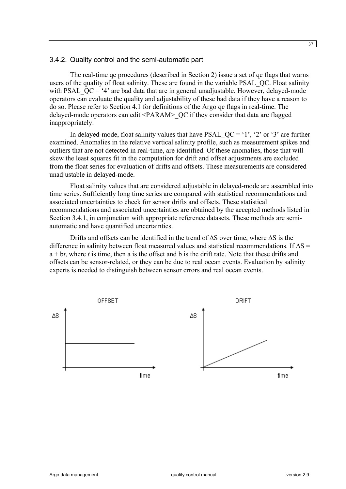#### <span id="page-36-0"></span>3.4.2. Quality control and the semi-automatic part

The real-time qc procedures (described in Section 2) issue a set of qc flags that warns users of the quality of float salinity. These are found in the variable PSAL\_QC. Float salinity with PSAL  $OC = '4'$  are bad data that are in general unadjustable. However, delayed-mode operators can evaluate the quality and adjustability of these bad data if they have a reason to do so. Please refer to Section 4.1 for definitions of the Argo qc flags in real-time. The delayed-mode operators can edit <PARAM>\_QC if they consider that data are flagged inappropriately.

In delayed-mode, float salinity values that have PSAL  $QC = '1', '2'$  or '3' are further examined. Anomalies in the relative vertical salinity profile, such as measurement spikes and outliers that are not detected in real-time, are identified. Of these anomalies, those that will skew the least squares fit in the computation for drift and offset adjustments are excluded from the float series for evaluation of drifts and offsets. These measurements are considered unadjustable in delayed-mode.

Float salinity values that are considered adjustable in delayed-mode are assembled into time series. Sufficiently long time series are compared with statistical recommendations and associated uncertainties to check for sensor drifts and offsets. These statistical recommendations and associated uncertainties are obtained by the accepted methods listed in Section 3.4.1, in conjunction with appropriate reference datasets. These methods are semiautomatic and have quantified uncertainties.

Drifts and offsets can be identified in the trend of ∆S over time, where ∆S is the difference in salinity between float measured values and statistical recommendations. If ∆S = a + b*t*, where *t* is time, then a is the offset and b is the drift rate. Note that these drifts and offsets can be sensor-related, or they can be due to real ocean events. Evaluation by salinity experts is needed to distinguish between sensor errors and real ocean events.

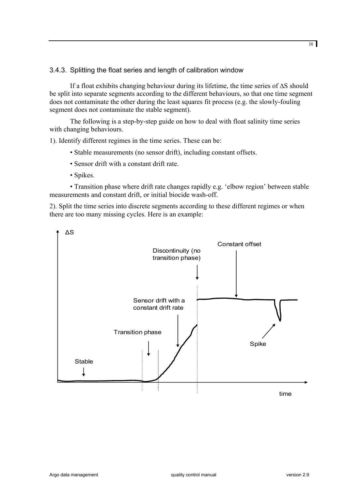#### <span id="page-37-0"></span>3.4.3. Splitting the float series and length of calibration window

If a float exhibits changing behaviour during its lifetime, the time series of ∆S should be split into separate segments according to the different behaviours, so that one time segment does not contaminate the other during the least squares fit process (e.g. the slowly-fouling segment does not contaminate the stable segment).

The following is a step-by-step guide on how to deal with float salinity time series with changing behaviours.

1). Identify different regimes in the time series. These can be:

- Stable measurements (no sensor drift), including constant offsets.
- Sensor drift with a constant drift rate.
- Spikes.

• Transition phase where drift rate changes rapidly e.g. 'elbow region' between stable measurements and constant drift, or initial biocide wash-off.

2). Split the time series into discrete segments according to these different regimes or when there are too many missing cycles. Here is an example:

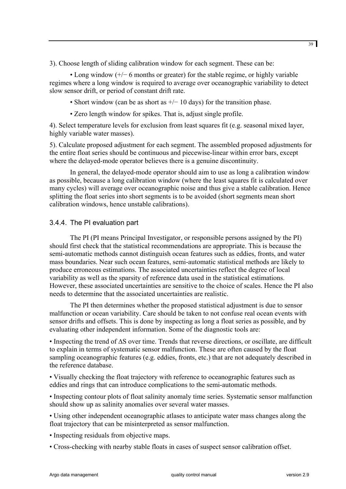<span id="page-38-0"></span>3). Choose length of sliding calibration window for each segment. These can be:

• Long window (+/− 6 months or greater) for the stable regime, or highly variable regimes where a long window is required to average over oceanographic variability to detect slow sensor drift, or period of constant drift rate.

• Short window (can be as short as  $+/- 10$  days) for the transition phase.

• Zero length window for spikes. That is, adjust single profile.

4). Select temperature levels for exclusion from least squares fit (e.g. seasonal mixed layer, highly variable water masses).

5). Calculate proposed adjustment for each segment. The assembled proposed adjustments for the entire float series should be continuous and piecewise-linear within error bars, except where the delayed-mode operator believes there is a genuine discontinuity.

In general, the delayed-mode operator should aim to use as long a calibration window as possible, because a long calibration window (where the least squares fit is calculated over many cycles) will average over oceanographic noise and thus give a stable calibration. Hence splitting the float series into short segments is to be avoided (short segments mean short calibration windows, hence unstable calibrations).

# 3.4.4. The PI evaluation part

The PI (PI means Principal Investigator, or responsible persons assigned by the PI) should first check that the statistical recommendations are appropriate. This is because the semi-automatic methods cannot distinguish ocean features such as eddies, fronts, and water mass boundaries. Near such ocean features, semi-automatic statistical methods are likely to produce erroneous estimations. The associated uncertainties reflect the degree of local variability as well as the sparsity of reference data used in the statistical estimations. However, these associated uncertainties are sensitive to the choice of scales. Hence the PI also needs to determine that the associated uncertainties are realistic.

The PI then determines whether the proposed statistical adjustment is due to sensor malfunction or ocean variability. Care should be taken to not confuse real ocean events with sensor drifts and offsets. This is done by inspecting as long a float series as possible, and by evaluating other independent information. Some of the diagnostic tools are:

• Inspecting the trend of ∆S over time. Trends that reverse directions, or oscillate, are difficult to explain in terms of systematic sensor malfunction. These are often caused by the float sampling oceanographic features (e.g. eddies, fronts, etc.) that are not adequately described in the reference database.

• Visually checking the float trajectory with reference to oceanographic features such as eddies and rings that can introduce complications to the semi-automatic methods.

• Inspecting contour plots of float salinity anomaly time series. Systematic sensor malfunction should show up as salinity anomalies over several water masses.

• Using other independent oceanographic atlases to anticipate water mass changes along the float trajectory that can be misinterpreted as sensor malfunction.

• Inspecting residuals from objective maps.

• Cross-checking with nearby stable floats in cases of suspect sensor calibration offset.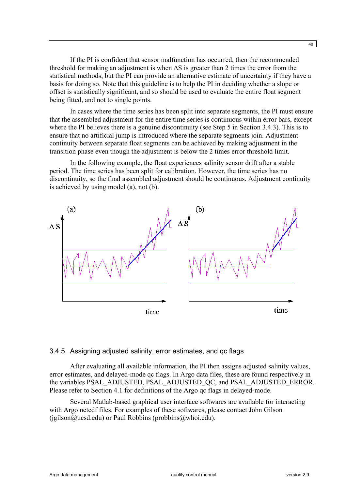<span id="page-39-0"></span>If the PI is confident that sensor malfunction has occurred, then the recommended threshold for making an adjustment is when ∆S is greater than 2 times the error from the statistical methods, but the PI can provide an alternative estimate of uncertainty if they have a basis for doing so. Note that this guideline is to help the PI in deciding whether a slope or offset is statistically significant, and so should be used to evaluate the entire float segment being fitted, and not to single points.

In cases where the time series has been split into separate segments, the PI must ensure that the assembled adjustment for the entire time series is continuous within error bars, except where the PI believes there is a genuine discontinuity (see Step 5 in Section 3.4.3). This is to ensure that no artificial jump is introduced where the separate segments join. Adjustment continuity between separate float segments can be achieved by making adjustment in the transition phase even though the adjustment is below the 2 times error threshold limit.

In the following example, the float experiences salinity sensor drift after a stable period. The time series has been split for calibration. However, the time series has no discontinuity, so the final assembled adjustment should be continuous. Adjustment continuity is achieved by using model (a), not (b).



#### 3.4.5. Assigning adjusted salinity, error estimates, and qc flags

After evaluating all available information, the PI then assigns adjusted salinity values, error estimates, and delayed-mode qc flags. In Argo data files, these are found respectively in the variables PSAL\_ADJUSTED, PSAL\_ADJUSTED\_QC, and PSAL\_ADJUSTED\_ERROR. Please refer to Section 4.1 for definitions of the Argo qc flags in delayed-mode.

Several Matlab-based graphical user interface softwares are available for interacting with Argo netcdf files. For examples of these softwares, please contact John Gilson  $(i$ gilson $@ucsd.edu)$  or Paul Robbins (probbins $@who$ i.edu).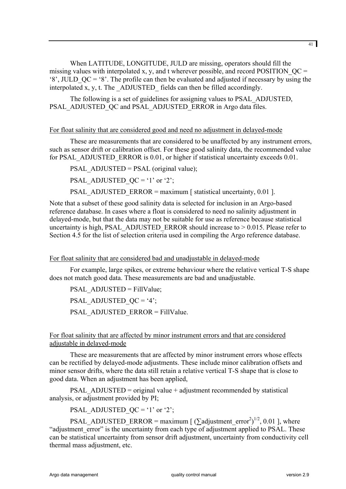When LATITUDE, LONGITUDE, JULD are missing, operators should fill the missing values with interpolated x, y, and t wherever possible, and record POSITION  $OC =$ '8', JULD  $QC = '8'$ . The profile can then be evaluated and adjusted if necessary by using the interpolated x, y, t. The ADJUSTED fields can then be filled accordingly.

The following is a set of guidelines for assigning values to PSAL\_ADJUSTED, PSAL\_ADJUSTED\_QC and PSAL\_ADJUSTED\_ERROR in Argo data files.

#### For float salinity that are considered good and need no adjustment in delayed-mode

These are measurements that are considered to be unaffected by any instrument errors, such as sensor drift or calibration offset. For these good salinity data, the recommended value for PSAL\_ADJUSTED\_ERROR is 0.01, or higher if statistical uncertainty exceeds 0.01.

PSAL\_ADJUSTED = PSAL (original value);

PSAL\_ADJUSTED\_QC = '1' or '2';

PSAL\_ADJUSTED\_ERROR = maximum  $\lceil$  statistical uncertainty, 0.01 ].

Note that a subset of these good salinity data is selected for inclusion in an Argo-based reference database. In cases where a float is considered to need no salinity adjustment in delayed-mode, but that the data may not be suitable for use as reference because statistical uncertainty is high, PSAL\_ADJUSTED\_ERROR should increase to  $> 0.015$ . Please refer to Section 4.5 for the list of selection criteria used in compiling the Argo reference database.

# For float salinity that are considered bad and unadjustable in delayed-mode

For example, large spikes, or extreme behaviour where the relative vertical T-S shape does not match good data. These measurements are bad and unadjustable.

PSAL\_ADJUSTED = FillValue; PSAL\_ADJUSTED\_QC = '4'; PSAL\_ADJUSTED\_ERROR = FillValue.

# For float salinity that are affected by minor instrument errors and that are considered adjustable in delayed-mode

These are measurements that are affected by minor instrument errors whose effects can be rectified by delayed-mode adjustments. These include minor calibration offsets and minor sensor drifts, where the data still retain a relative vertical T-S shape that is close to good data. When an adjustment has been applied,

PSAL\_ADJUSTED = original value + adjustment recommended by statistical analysis, or adjustment provided by PI;

PSAL\_ADJUSTED\_ $OC = '1'$  or '2';

PSAL\_ADJUSTED\_ERROR = maximum  $\left[ (\sum \text{adjustment error}^2)^{1/2}, 0.01 \right]$ , where "adjustment error" is the uncertainty from each type of adjustment applied to PSAL. These can be statistical uncertainty from sensor drift adjustment, uncertainty from conductivity cell thermal mass adjustment, etc.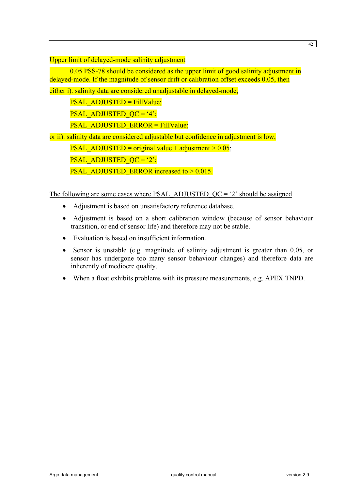Upper limit of delayed-mode salinity adjustment

0.05 PSS-78 should be considered as the upper limit of good salinity adjustment in delayed-mode. If the magnitude of sensor drift or calibration offset exceeds 0.05, then

either i). salinity data are considered unadjustable in delayed-mode,

PSAL\_ADJUSTED = FillValue;

**PSAL\_ADJUSTED\_QC = '4';** 

PSAL\_ADJUSTED\_ERROR = FillValue;

or ii). salinity data are considered adjustable but confidence in adjustment is low,

**PSAL\_ADJUSTED = original value + adjustment > 0.05;** 

PSAL\_ADJUSTED\_ $OC = '2';$ 

**PSAL\_ADJUSTED\_ERROR** increased to  $> 0.015$ .

The following are some cases where PSAL\_ADJUSTED\_QC = '2' should be assigned

- Adjustment is based on unsatisfactory reference database.
- Adjustment is based on a short calibration window (because of sensor behaviour transition, or end of sensor life) and therefore may not be stable.
- Evaluation is based on insufficient information.
- Sensor is unstable (e.g. magnitude of salinity adjustment is greater than 0.05, or sensor has undergone too many sensor behaviour changes) and therefore data are inherently of mediocre quality.
- When a float exhibits problems with its pressure measurements, e.g. APEX TNPD.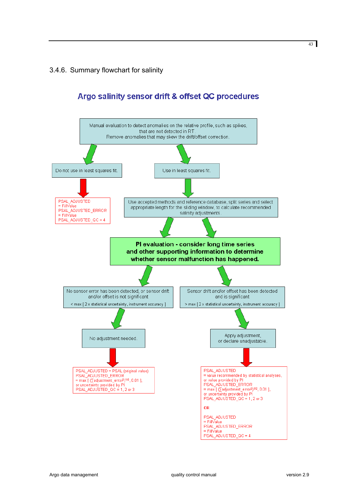# <span id="page-42-0"></span>3.4.6. Summary flowchart for salinity



# Argo salinity sensor drift & offset QC procedures

43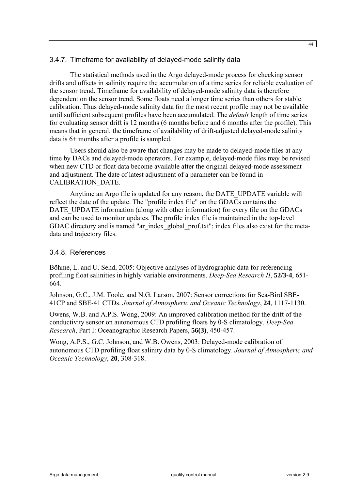#### <span id="page-43-0"></span>3.4.7. Timeframe for availability of delayed-mode salinity data

The statistical methods used in the Argo delayed-mode process for checking sensor drifts and offsets in salinity require the accumulation of a time series for reliable evaluation of the sensor trend. Timeframe for availability of delayed-mode salinity data is therefore dependent on the sensor trend. Some floats need a longer time series than others for stable calibration. Thus delayed-mode salinity data for the most recent profile may not be available until sufficient subsequent profiles have been accumulated. The *default* length of time series for evaluating sensor drift is 12 months (6 months before and 6 months after the profile). This means that in general, the timeframe of availability of drift-adjusted delayed-mode salinity data is 6+ months after a profile is sampled.

Users should also be aware that changes may be made to delayed-mode files at any time by DACs and delayed-mode operators. For example, delayed-mode files may be revised when new CTD or float data become available after the original delayed-mode assessment and adjustment. The date of latest adjustment of a parameter can be found in CALIBRATION\_DATE.

Anytime an Argo file is updated for any reason, the DATE\_UPDATE variable will reflect the date of the update. The "profile index file" on the GDACs contains the DATE\_UPDATE\_information (along with other information) for every file on the GDACs and can be used to monitor updates. The profile index file is maintained in the top-level GDAC directory and is named "ar\_index\_global\_prof.txt"; index files also exist for the metadata and trajectory files.

# 3.4.8. References

Böhme, L. and U. Send, 2005: Objective analyses of hydrographic data for referencing profiling float salinities in highly variable environments. *Deep-Sea Research II*, **52/3-4**, 651- 664.

Johnson, G.C., J.M. Toole, and N.G. Larson, 2007: Sensor corrections for Sea-Bird SBE-41CP and SBE-41 CTDs. *Journal of Atmospheric and Oceanic Technology*, **24**, 1117-1130.

Owens, W.B. and A.P.S. Wong, 2009: An improved calibration method for the drift of the conductivity sensor on autonomous CTD profiling floats by θ-S climatology. *Deep-Sea Research*, Part I: Oceanographic Research Papers, **56(3)**, 450-457.

Wong, A.P.S., G.C. Johnson, and W.B. Owens, 2003: Delayed-mode calibration of autonomous CTD profiling float salinity data by θ-S climatology. *Journal of Atmospheric and Oceanic Technology*, **20**, 308-318.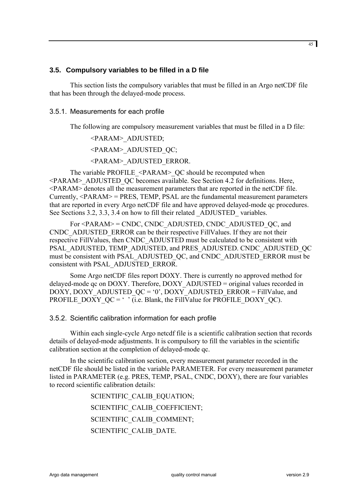#### <span id="page-44-0"></span>**3.5. Compulsory variables to be filled in a D file**

This section lists the compulsory variables that must be filled in an Argo netCDF file that has been through the delayed-mode process.

#### 3.5.1. Measurements for each profile

The following are compulsory measurement variables that must be filled in a D file:

<PARAM>\_ADJUSTED;

<PARAM>\_ADJUSTED\_QC;

<PARAM>\_ADJUSTED\_ERROR.

The variable PROFILE <PARAM> QC should be recomputed when <PARAM>\_ADJUSTED\_QC becomes available. See Section 4.2 for definitions. Here, <PARAM> denotes all the measurement parameters that are reported in the netCDF file. Currently,  $\langle PARAM \rangle$  = PRES, TEMP, PSAL are the fundamental measurement parameters that are reported in every Argo netCDF file and have approved delayed-mode qc procedures. See Sections 3.2, 3.3, 3.4 on how to fill their related ADJUSTED variables.

For <PARAM> = CNDC, CNDC\_ADJUSTED, CNDC\_ADJUSTED\_QC, and CNDC\_ADJUSTED\_ERROR can be their respective FillValues. If they are not their respective FillValues, then CNDC\_ADJUSTED must be calculated to be consistent with PSAL\_ADJUSTED, TEMP\_ADJUSTED, and PRES\_ADJUSTED. CNDC\_ADJUSTED\_QC must be consistent with PSAL\_ADJUSTED\_QC, and CNDC\_ADJUSTED\_ERROR must be consistent with PSAL\_ADJUSTED\_ERROR.

Some Argo netCDF files report DOXY. There is currently no approved method for delayed-mode qc on DOXY. Therefore, DOXY\_ADJUSTED = original values recorded in  $\overline{DOXY}$ ,  $\overline{DOXY}$  ADJUSTED QC = '0',  $\overline{DOXY}$  ADJUSTED ERROR = FillValue, and PROFILE\_DOXY\_QC =  $\cdot$  ' (i.e. Blank, the FillValue for PROFILE\_DOXY\_QC).

3.5.2. Scientific calibration information for each profile

Within each single-cycle Argo netcdf file is a scientific calibration section that records details of delayed-mode adjustments. It is compulsory to fill the variables in the scientific calibration section at the completion of delayed-mode qc.

In the scientific calibration section, every measurement parameter recorded in the netCDF file should be listed in the variable PARAMETER. For every measurement parameter listed in PARAMETER (e.g. PRES, TEMP, PSAL, CNDC, DOXY), there are four variables to record scientific calibration details:

> SCIENTIFIC CALIB EQUATION; SCIENTIFIC\_CALIB\_COEFFICIENT; SCIENTIFIC\_CALIB\_COMMENT; SCIENTIFIC\_CALIB\_DATE.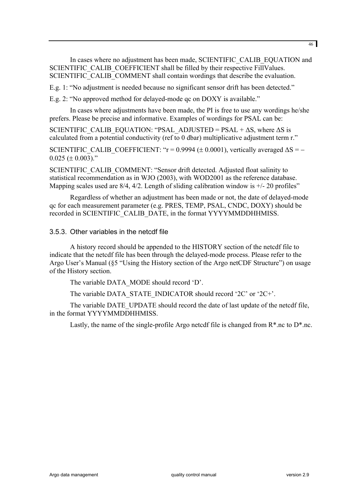<span id="page-45-0"></span>In cases where no adjustment has been made, SCIENTIFIC\_CALIB\_EQUATION and SCIENTIFIC\_CALIB\_COEFFICIENT shall be filled by their respective FillValues. SCIENTIFIC CALIB COMMENT shall contain wordings that describe the evaluation.

E.g. 1: "No adjustment is needed because no significant sensor drift has been detected."

E.g. 2: "No approved method for delayed-mode qc on DOXY is available."

In cases where adjustments have been made, the PI is free to use any wordings he/she prefers. Please be precise and informative. Examples of wordings for PSAL can be:

SCIENTIFIC\_CALIB\_EQUATION: "PSAL\_ADJUSTED = PSAL +  $\Delta S$ , where  $\Delta S$  is calculated from a potential conductivity (ref to 0 dbar) multiplicative adjustment term r."

SCIENTIFIC\_CALIB\_COEFFICIENT: "r = 0.9994 ( $\pm$  0.0001), vertically averaged  $\Delta S = 0.025 \ (\pm 0.003)$ ."

SCIENTIFIC\_CALIB\_COMMENT: "Sensor drift detected. Adjusted float salinity to statistical recommendation as in WJO (2003), with WOD2001 as the reference database. Mapping scales used are  $8/4$ ,  $4/2$ . Length of sliding calibration window is  $+/-20$  profiles"

Regardless of whether an adjustment has been made or not, the date of delayed-mode qc for each measurement parameter (e.g. PRES, TEMP, PSAL, CNDC, DOXY) should be recorded in SCIENTIFIC CALIB\_DATE, in the format YYYYMMDDHHMISS.

#### 3.5.3. Other variables in the netcdf file

A history record should be appended to the HISTORY section of the netcdf file to indicate that the netcdf file has been through the delayed-mode process. Please refer to the Argo User's Manual (§5 "Using the History section of the Argo netCDF Structure") on usage of the History section.

The variable DATA\_MODE should record 'D'.

The variable DATA\_STATE\_INDICATOR should record '2C' or '2C+'.

The variable DATE\_UPDATE should record the date of last update of the netcdf file, in the format YYYYMMDDHHMISS.

Lastly, the name of the single-profile Argo netcdf file is changed from  $R^*$ .nc to  $D^*$ .nc.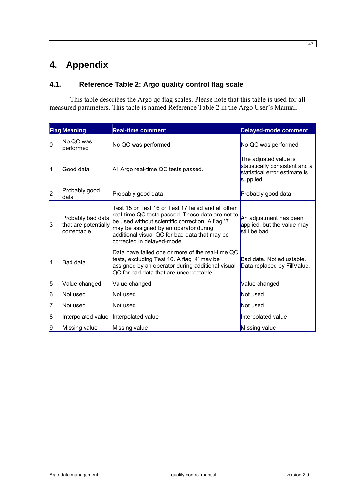# <span id="page-46-0"></span>**4. Appendix**

# **4.1. Reference Table 2: Argo quality control flag scale**

This table describes the Argo qc flag scales. Please note that this table is used for all measured parameters. This table is named Reference Table 2 in the Argo User's Manual.

|           | <b>Flag Meaning</b>                                      | <b>Real-time comment</b>                                                                                                                                                                                                                                                            | <b>Delayed-mode comment</b>                                                                           |
|-----------|----------------------------------------------------------|-------------------------------------------------------------------------------------------------------------------------------------------------------------------------------------------------------------------------------------------------------------------------------------|-------------------------------------------------------------------------------------------------------|
| 10        | No QC was<br>performed                                   | No QC was performed                                                                                                                                                                                                                                                                 | No QC was performed                                                                                   |
| $\vert$ 1 | Good data                                                | All Argo real-time QC tests passed.                                                                                                                                                                                                                                                 | The adjusted value is<br>statistically consistent and a<br>statistical error estimate is<br>supplied. |
| 2         | Probably good<br>data                                    | Probably good data                                                                                                                                                                                                                                                                  | Probably good data                                                                                    |
| 3         | Probably bad data<br>that are potentially<br>correctable | Test 15 or Test 16 or Test 17 failed and all other<br>real-time QC tests passed. These data are not to<br>be used without scientific correction. A flag '3'<br>may be assigned by an operator during<br>additional visual QC for bad data that may be<br>corrected in delayed-mode. | An adjustment has been<br>applied, but the value may<br>still be bad.                                 |
| l4        | <b>Bad</b> data                                          | Data have failed one or more of the real-time QC<br>tests, excluding Test 16. A flag '4' may be<br>assigned by an operator during additional visual<br>QC for bad data that are uncorrectable.                                                                                      | Bad data. Not adjustable.<br>Data replaced by FillValue.                                              |
| 5         | Value changed                                            | Value changed                                                                                                                                                                                                                                                                       | Value changed                                                                                         |
| 6         | Not used                                                 | <b>Not used</b>                                                                                                                                                                                                                                                                     | Not used                                                                                              |
| 17        | Not used                                                 | Not used                                                                                                                                                                                                                                                                            | Not used                                                                                              |
| 8         | Interpolated value  Interpolated value                   |                                                                                                                                                                                                                                                                                     | Interpolated value                                                                                    |
| 9         | Missing value                                            | Missing value                                                                                                                                                                                                                                                                       | Missing value                                                                                         |

47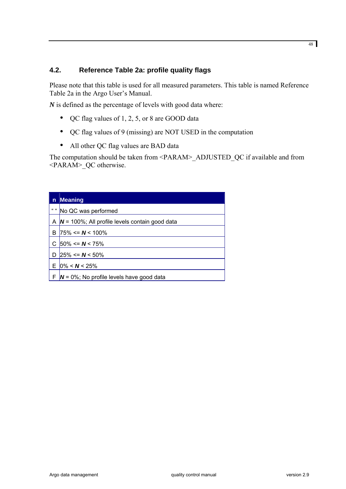# <span id="page-47-0"></span>**4.2. Reference Table 2a: profile quality flags**

Please note that this table is used for all measured parameters. This table is named Reference Table 2a in the Argo User's Manual.

*N* is defined as the percentage of levels with good data where:

- QC flag values of 1, 2, 5, or 8 are GOOD data
- QC flag values of 9 (missing) are NOT USED in the computation
- All other QC flag values are BAD data

The computation should be taken from <PARAM>\_ADJUSTED\_QC if available and from <PARAM>\_QC otherwise.

| n         | <b>Meaning</b>                                     |
|-----------|----------------------------------------------------|
| $66 - 66$ | No QC was performed                                |
| Α         | $N = 100\%$ ; All profile levels contain good data |
| В         | $75\% \leq N \leq 100\%$                           |
|           | $ 50\%  \le N < 75\%$                              |
| D         | $25\% \le N \le 50\%$                              |
| E.        | $0\% < N < 25\%$                                   |
|           | $N = 0\%$ ; No profile levels have good data       |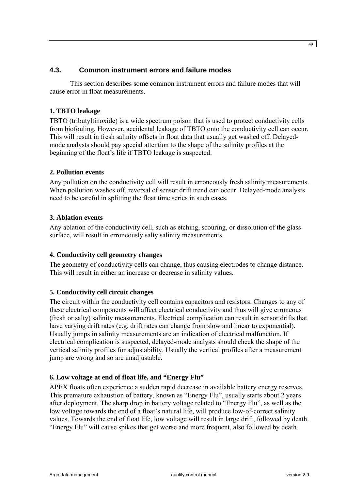# <span id="page-48-0"></span>**4.3. Common instrument errors and failure modes**

This section describes some common instrument errors and failure modes that will cause error in float measurements.

# **1. TBTO leakage**

TBTO (tributyltinoxide) is a wide spectrum poison that is used to protect conductivity cells from biofouling. However, accidental leakage of TBTO onto the conductivity cell can occur. This will result in fresh salinity offsets in float data that usually get washed off. Delayedmode analysts should pay special attention to the shape of the salinity profiles at the beginning of the float's life if TBTO leakage is suspected.

# **2. Pollution events**

Any pollution on the conductivity cell will result in erroneously fresh salinity measurements. When pollution washes off, reversal of sensor drift trend can occur. Delayed-mode analysts need to be careful in splitting the float time series in such cases.

#### **3. Ablation events**

Any ablation of the conductivity cell, such as etching, scouring, or dissolution of the glass surface, will result in erroneously salty salinity measurements.

#### **4. Conductivity cell geometry changes**

The geometry of conductivity cells can change, thus causing electrodes to change distance. This will result in either an increase or decrease in salinity values.

#### **5. Conductivity cell circuit changes**

The circuit within the conductivity cell contains capacitors and resistors. Changes to any of these electrical components will affect electrical conductivity and thus will give erroneous (fresh or salty) salinity measurements. Electrical complication can result in sensor drifts that have varying drift rates (e.g. drift rates can change from slow and linear to exponential). Usually jumps in salinity measurements are an indication of electrical malfunction. If electrical complication is suspected, delayed-mode analysts should check the shape of the vertical salinity profiles for adjustability. Usually the vertical profiles after a measurement jump are wrong and so are unadjustable.

#### **6. Low voltage at end of float life, and "Energy Flu"**

APEX floats often experience a sudden rapid decrease in available battery energy reserves. This premature exhaustion of battery, known as "Energy Flu", usually starts about 2 years after deployment. The sharp drop in battery voltage related to "Energy Flu", as well as the low voltage towards the end of a float's natural life, will produce low-of-correct salinity values. Towards the end of float life, low voltage will result in large drift, followed by death. "Energy Flu" will cause spikes that get worse and more frequent, also followed by death.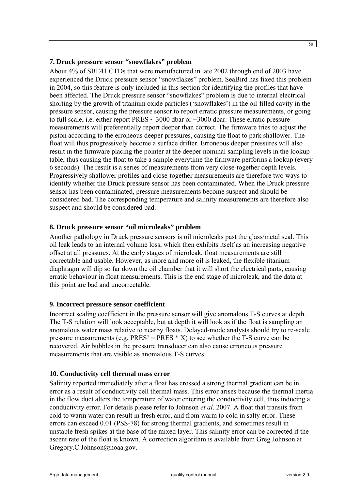#### **7. Druck pressure sensor "snowflakes" problem**

About 4% of SBE41 CTDs that were manufactured in late 2002 through end of 2003 have experienced the Druck pressure sensor "snowflakes" problem. SeaBird has fixed this problem in 2004, so this feature is only included in this section for identifying the profiles that have been affected. The Druck pressure sensor "snowflakes" problem is due to internal electrical shorting by the growth of titanium oxide particles ('snowflakes') in the oil-filled cavity in the pressure sensor, causing the pressure sensor to report erratic pressure measurements, or going to full scale, i.e. either report PRES ~ 3000 dbar or −3000 dbar. These erratic pressure measurements will preferentially report deeper than correct. The firmware tries to adjust the piston according to the erroneous deeper pressures, causing the float to park shallower. The float will thus progressively become a surface drifter. Erroneous deeper pressures will also result in the firmware placing the pointer at the deeper nominal sampling levels in the lookup table, thus causing the float to take a sample everytime the firmware performs a lookup (every 6 seconds). The result is a series of measurements from very close-together depth levels. Progressively shallower profiles and close-together measurements are therefore two ways to identify whether the Druck pressure sensor has been contaminated. When the Druck pressure sensor has been contaminated, pressure measurements become suspect and should be considered bad. The corresponding temperature and salinity measurements are therefore also suspect and should be considered bad.

# **8. Druck pressure sensor "oil microleaks" problem**

Another pathology in Druck pressure sensors is oil microleaks past the glass/metal seal. This oil leak leads to an internal volume loss, which then exhibits itself as an increasing negative offset at all pressures. At the early stages of microleak, float measurements are still correctable and usable. However, as more and more oil is leaked, the flexible titanium diaphragm will dip so far down the oil chamber that it will short the electrical parts, causing erratic behaviour in float measurements. This is the end stage of microleak, and the data at this point are bad and uncorrectable.

#### **9. Incorrect pressure sensor coefficient**

Incorrect scaling coefficient in the pressure sensor will give anomalous T-S curves at depth. The T-S relation will look acceptable, but at depth it will look as if the float is sampling an anomalous water mass relative to nearby floats. Delayed-mode analysts should try to re-scale pressure measurements (e.g.  $PRES' = PRES * X$ ) to see whether the T-S curve can be recovered. Air bubbles in the pressure transducer can also cause erroneous pressure measurements that are visible as anomalous T-S curves.

#### **10. Conductivity cell thermal mass error**

Salinity reported immediately after a float has crossed a strong thermal gradient can be in error as a result of conductivity cell thermal mass. This error arises because the thermal inertia in the flow duct alters the temperature of water entering the conductivity cell, thus inducing a conductivity error. For details please refer to Johnson *et al*. 2007. A float that transits from cold to warm water can result in fresh error, and from warm to cold in salty error. These errors can exceed 0.01 (PSS-78) for strong thermal gradients, and sometimes result in unstable fresh spikes at the base of the mixed layer. This salinity error can be corrected if the ascent rate of the float is known. A correction algorithm is available from Greg Johnson at [Gregory.C.Johnson@noaa.gov](mailto:Gregory.C.Johnson@noaa.gov).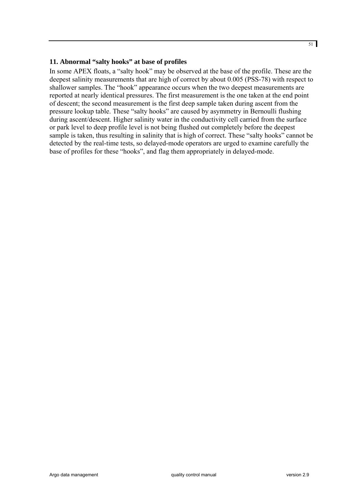#### **11. Abnormal "salty hooks" at base of profiles**

In some APEX floats, a "salty hook" may be observed at the base of the profile. These are the deepest salinity measurements that are high of correct by about 0.005 (PSS-78) with respect to shallower samples. The "hook" appearance occurs when the two deepest measurements are reported at nearly identical pressures. The first measurement is the one taken at the end point of descent; the second measurement is the first deep sample taken during ascent from the pressure lookup table. These "salty hooks" are caused by asymmetry in Bernoulli flushing during ascent/descent. Higher salinity water in the conductivity cell carried from the surface or park level to deep profile level is not being flushed out completely before the deepest sample is taken, thus resulting in salinity that is high of correct. These "salty hooks" cannot be detected by the real-time tests, so delayed-mode operators are urged to examine carefully the base of profiles for these "hooks", and flag them appropriately in delayed-mode.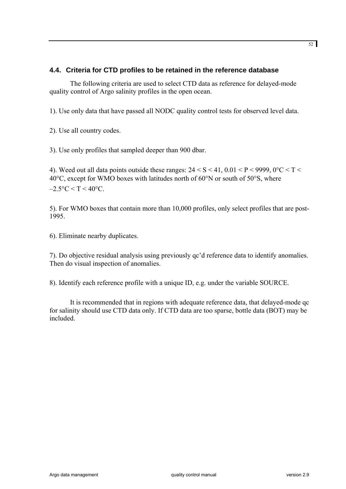# <span id="page-51-0"></span>**4.4. Criteria for CTD profiles to be retained in the reference database**

The following criteria are used to select CTD data as reference for delayed-mode quality control of Argo salinity profiles in the open ocean.

1). Use only data that have passed all NODC quality control tests for observed level data.

2). Use all country codes.

3). Use only profiles that sampled deeper than 900 dbar.

4). Weed out all data points outside these ranges:  $24 < S < 41$ ,  $0.01 < P < 9999$ ,  $0^{\circ}C < T <$ 40°C, except for WMO boxes with latitudes north of 60°N or south of 50°S, where  $-2.5$ °C < T < 40°C.

5). For WMO boxes that contain more than 10,000 profiles, only select profiles that are post-1995.

6). Eliminate nearby duplicates.

7). Do objective residual analysis using previously qc'd reference data to identify anomalies. Then do visual inspection of anomalies.

8). Identify each reference profile with a unique ID, e.g. under the variable SOURCE.

It is recommended that in regions with adequate reference data, that delayed-mode qc for salinity should use CTD data only. If CTD data are too sparse, bottle data (BOT) may be included.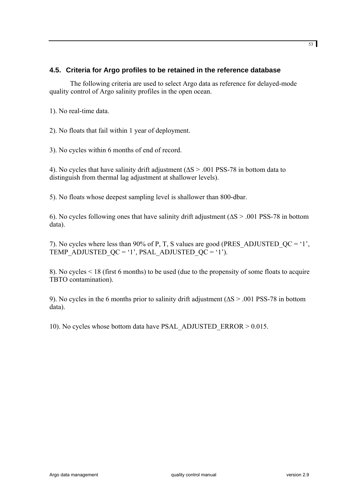#### <span id="page-52-0"></span>**4.5. Criteria for Argo profiles to be retained in the reference database**

The following criteria are used to select Argo data as reference for delayed-mode quality control of Argo salinity profiles in the open ocean.

1). No real-time data.

2). No floats that fail within 1 year of deployment.

3). No cycles within 6 months of end of record.

4). No cycles that have salinity drift adjustment (∆S > .001 PSS-78 in bottom data to distinguish from thermal lag adjustment at shallower levels).

5). No floats whose deepest sampling level is shallower than 800-dbar.

6). No cycles following ones that have salinity drift adjustment (∆S > .001 PSS-78 in bottom data).

7). No cycles where less than 90% of P, T, S values are good (PRES ADJUSTED  $QC = '1'$ , TEMP\_ADJUSTED\_QC = '1', PSAL\_ADJUSTED\_QC = '1').

8). No cycles < 18 (first 6 months) to be used (due to the propensity of some floats to acquire TBTO contamination).

9). No cycles in the 6 months prior to salinity drift adjustment (∆S > .001 PSS-78 in bottom data).

10). No cycles whose bottom data have PSAL\_ADJUSTED\_ERROR > 0.015.